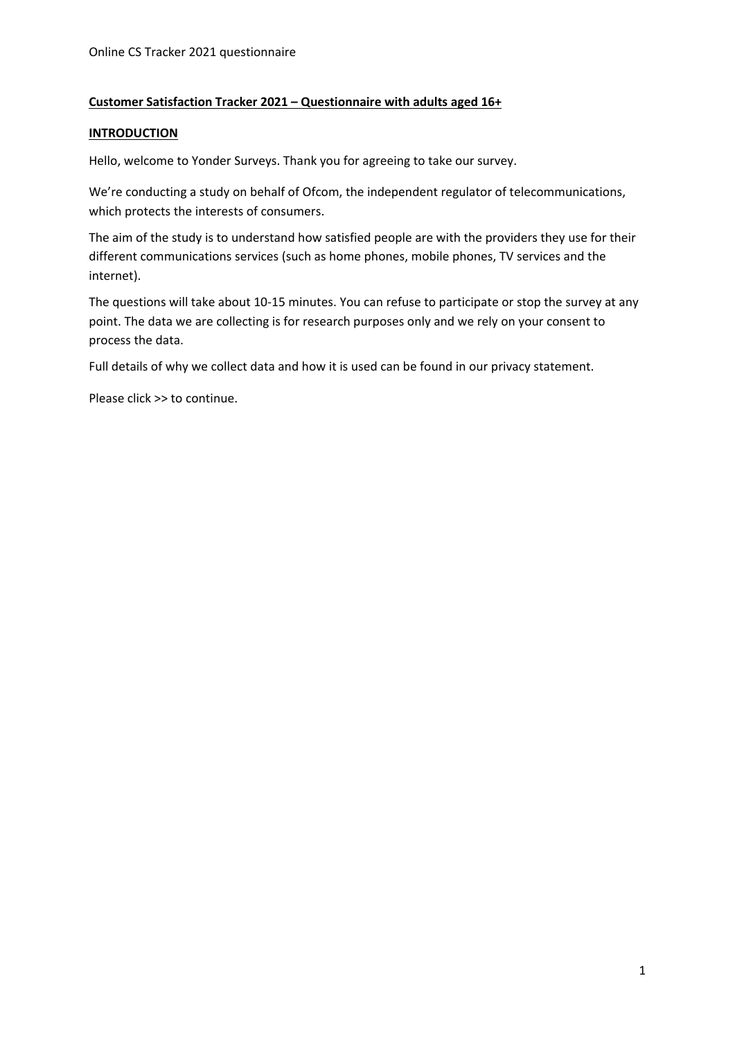#### **Customer Satisfaction Tracker 2021 – Questionnaire with adults aged 16+**

#### **INTRODUCTION**

Hello, welcome to Yonder Surveys. Thank you for agreeing to take our survey.

We're conducting a study on behalf of Ofcom, the independent regulator of telecommunications, which protects the interests of consumers.

The aim of the study is to understand how satisfied people are with the providers they use for their different communications services (such as home phones, mobile phones, TV services and the internet).

The questions will take about 10-15 minutes. You can refuse to participate or stop the survey at any point. The data we are collecting is for research purposes only and we rely on your consent to process the data.

Full details of why we collect data and how it is used can be found in our privacy statement.

Please click >> to continue.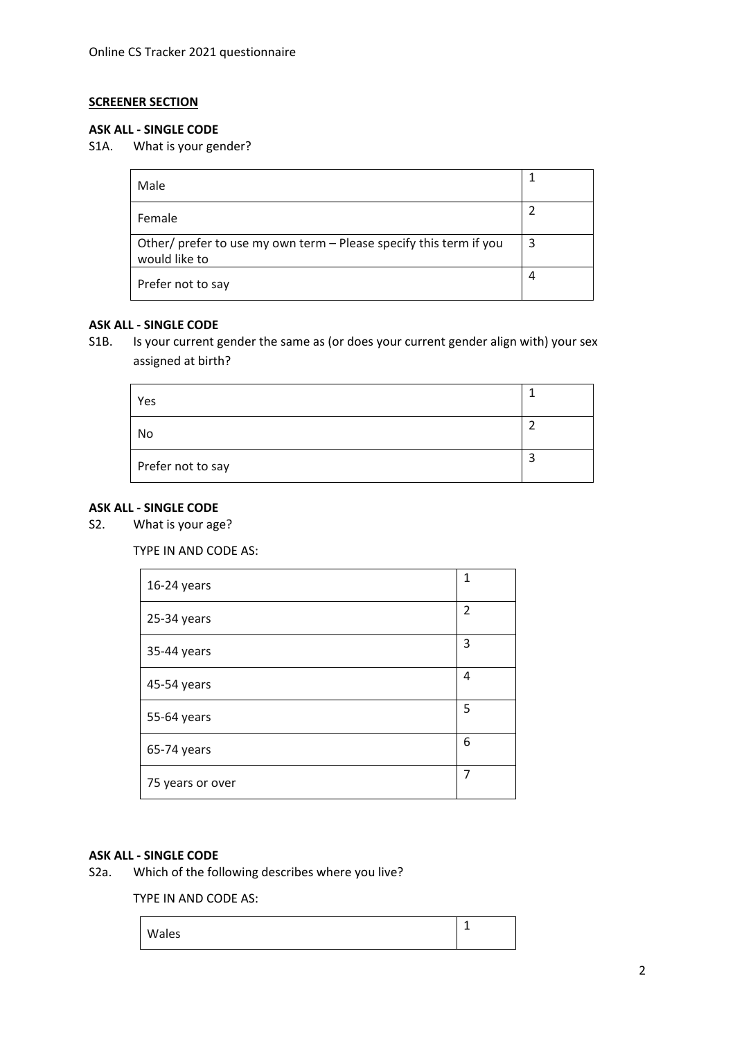### **SCREENER SECTION**

#### **ASK ALL - SINGLE CODE**

S1A. What is your gender?

| Male                                                                                |   |
|-------------------------------------------------------------------------------------|---|
| Female                                                                              |   |
| Other/ prefer to use my own term - Please specify this term if you<br>would like to | 3 |
| Prefer not to say                                                                   | 4 |

# **ASK ALL - SINGLE CODE**

S1B. Is your current gender the same as (or does your current gender align with) your sex assigned at birth?

| Yes               |  |
|-------------------|--|
| No                |  |
| Prefer not to say |  |

#### **ASK ALL - SINGLE CODE**

S2. What is your age?

TYPE IN AND CODE AS:

| 16-24 years      | $\mathbf{1}$   |
|------------------|----------------|
| 25-34 years      | $\overline{2}$ |
| 35-44 years      | 3              |
| 45-54 years      | 4              |
| 55-64 years      | 5              |
| 65-74 years      | 6              |
| 75 years or over | 7              |

# **ASK ALL - SINGLE CODE**

Which of the following describes where you live?

TYPE IN AND CODE AS:

| Wales | - |
|-------|---|
|       |   |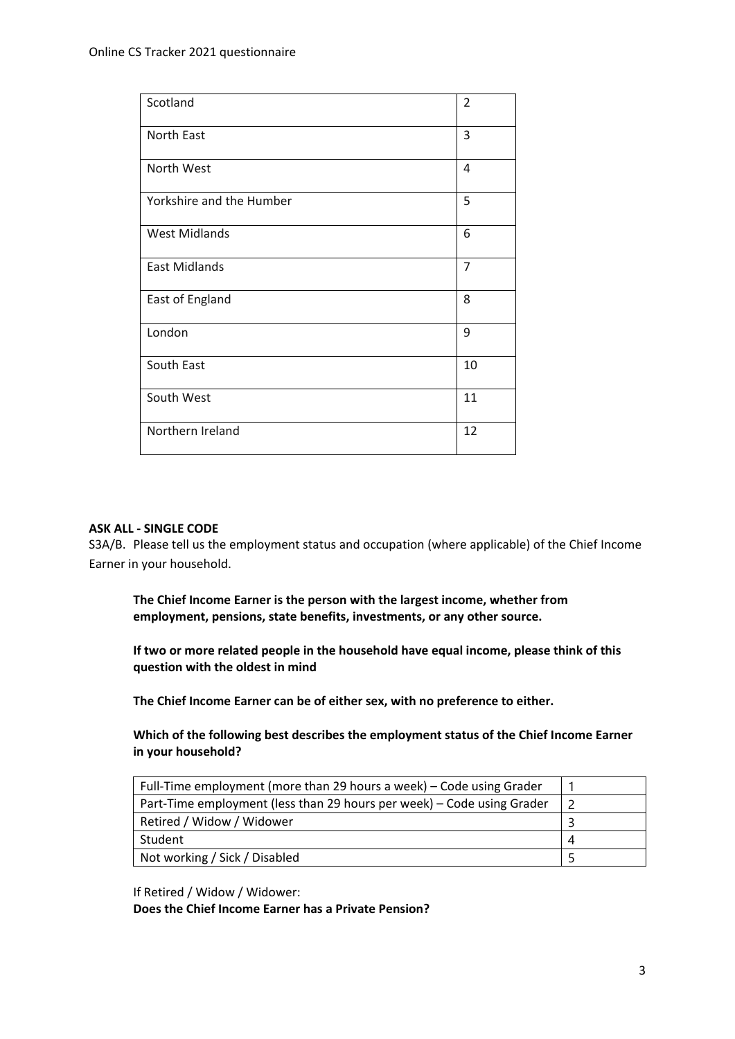| Scotland                 | $\overline{2}$ |
|--------------------------|----------------|
| North East               | 3              |
| North West               | 4              |
| Yorkshire and the Humber | 5              |
| <b>West Midlands</b>     | 6              |
| <b>East Midlands</b>     | $\overline{7}$ |
| East of England          | 8              |
| London                   | 9              |
| South East               | 10             |
| South West               | 11             |
| Northern Ireland         | 12             |

#### **ASK ALL - SINGLE CODE**

S3A/B. Please tell us the employment status and occupation (where applicable) of the Chief Income Earner in your household.

**The Chief Income Earner is the person with the largest income, whether from employment, pensions, state benefits, investments, or any other source.**

**If two or more related people in the household have equal income, please think of this question with the oldest in mind** 

**The Chief Income Earner can be of either sex, with no preference to either.**

**Which of the following best describes the employment status of the Chief Income Earner in your household?**

| Full-Time employment (more than 29 hours a week) – Code using Grader   |  |
|------------------------------------------------------------------------|--|
| Part-Time employment (less than 29 hours per week) – Code using Grader |  |
| Retired / Widow / Widower                                              |  |
| Student                                                                |  |
| Not working / Sick / Disabled                                          |  |

If Retired / Widow / Widower:

**Does the Chief Income Earner has a Private Pension?**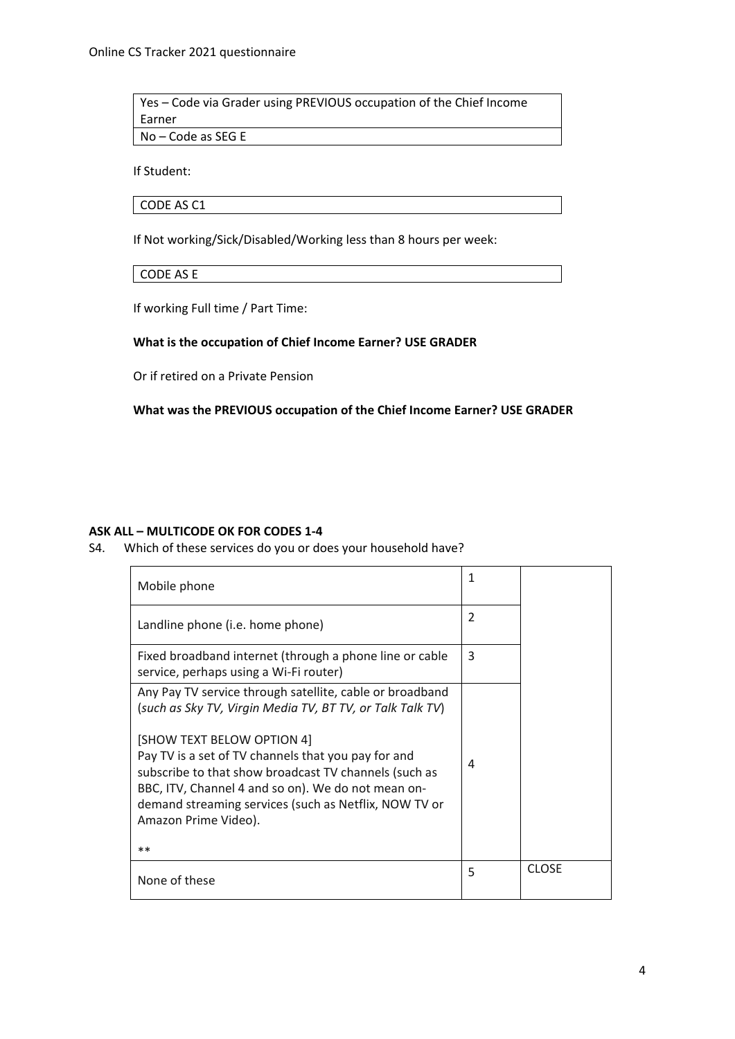Yes – Code via Grader using PREVIOUS occupation of the Chief Income Earner No – Code as SEG E

If Student:

CODE AS C1

If Not working/Sick/Disabled/Working less than 8 hours per week:

CODE AS E

If working Full time / Part Time:

#### **What is the occupation of Chief Income Earner? USE GRADER**

Or if retired on a Private Pension

**What was the PREVIOUS occupation of the Chief Income Earner? USE GRADER**

#### **ASK ALL – MULTICODE OK FOR CODES 1-4**

S4. Which of these services do you or does your household have?

| Mobile phone                                                                                                                                                                                                                                                                                                                                                                                                       | 1 |              |
|--------------------------------------------------------------------------------------------------------------------------------------------------------------------------------------------------------------------------------------------------------------------------------------------------------------------------------------------------------------------------------------------------------------------|---|--------------|
| Landline phone (i.e. home phone)                                                                                                                                                                                                                                                                                                                                                                                   | 2 |              |
| Fixed broadband internet (through a phone line or cable<br>service, perhaps using a Wi-Fi router)                                                                                                                                                                                                                                                                                                                  | 3 |              |
| Any Pay TV service through satellite, cable or broadband<br>(such as Sky TV, Virgin Media TV, BT TV, or Talk Talk TV)<br>[SHOW TEXT BELOW OPTION 4]<br>Pay TV is a set of TV channels that you pay for and<br>subscribe to that show broadcast TV channels (such as<br>BBC, ITV, Channel 4 and so on). We do not mean on-<br>demand streaming services (such as Netflix, NOW TV or<br>Amazon Prime Video).<br>$**$ | 4 |              |
| None of these                                                                                                                                                                                                                                                                                                                                                                                                      | 5 | <b>CLOSE</b> |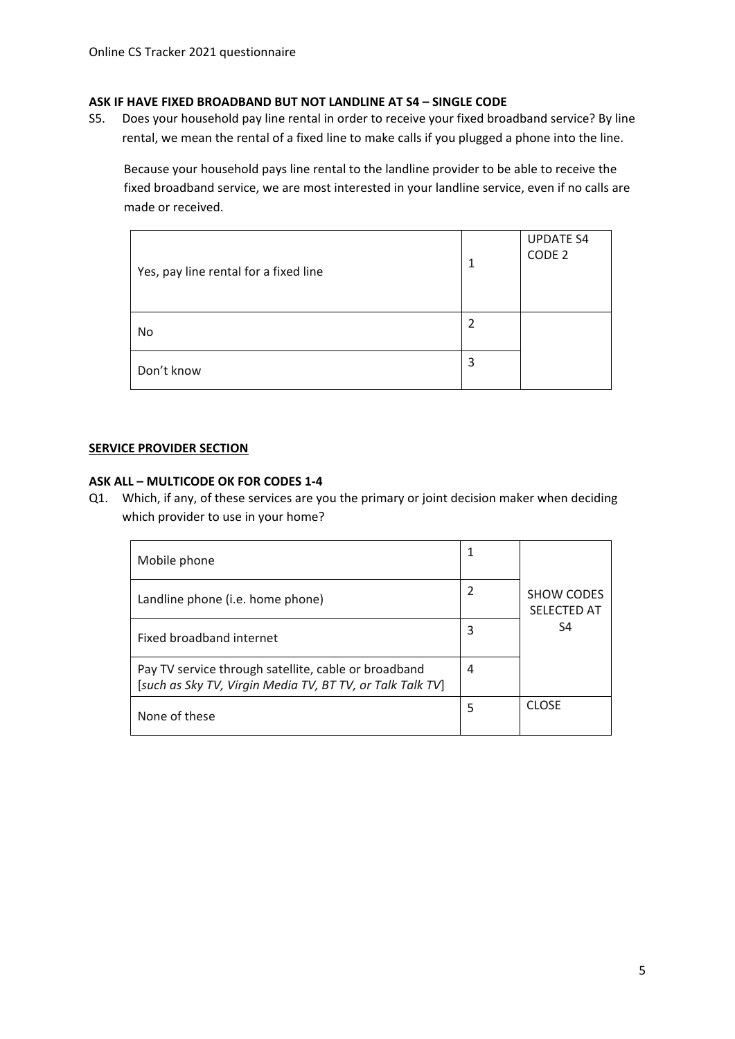#### **ASK IF HAVE FIXED BROADBAND BUT NOT LANDLINE AT S4 – SINGLE CODE**

S5. Does your household pay line rental in order to receive your fixed broadband service? By line rental, we mean the rental of a fixed line to make calls if you plugged a phone into the line.

Because your household pays line rental to the landline provider to be able to receive the fixed broadband service, we are most interested in your landline service, even if no calls are made or received.

| Yes, pay line rental for a fixed line | 1 | <b>UPDATE S4</b><br>CODE <sub>2</sub> |
|---------------------------------------|---|---------------------------------------|
| No                                    |   |                                       |
| Don't know                            | 3 |                                       |

#### **SERVICE PROVIDER SECTION**

#### **ASK ALL – MULTICODE OK FOR CODES 1-4**

Q1. Which, if any, of these services are you the primary or joint decision maker when deciding which provider to use in your home?

| Mobile phone                                                                                                      |   |                                         |
|-------------------------------------------------------------------------------------------------------------------|---|-----------------------------------------|
| Landline phone (i.e. home phone)                                                                                  |   | <b>SHOW CODES</b><br><b>SELECTED AT</b> |
| Fixed broadband internet                                                                                          | 3 | S4                                      |
| Pay TV service through satellite, cable or broadband<br>[such as Sky TV, Virgin Media TV, BT TV, or Talk Talk TV] | 4 |                                         |
| None of these                                                                                                     | 5 | <b>CLOSE</b>                            |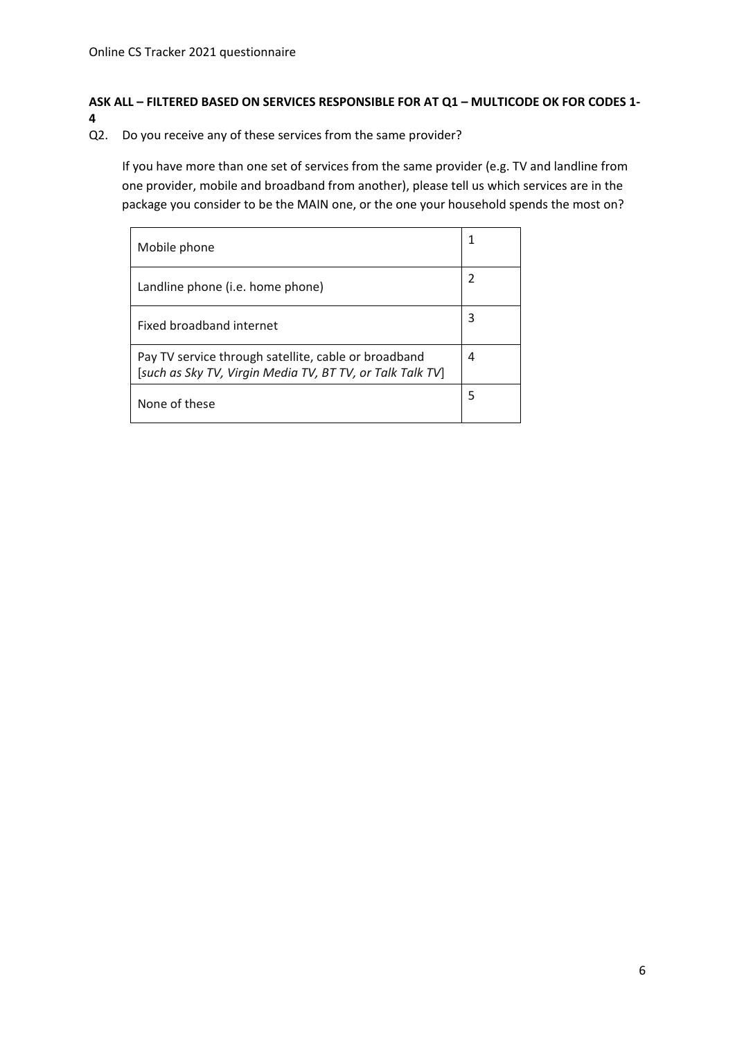### **ASK ALL – FILTERED BASED ON SERVICES RESPONSIBLE FOR AT Q1 – MULTICODE OK FOR CODES 1- 4**

Q2. Do you receive any of these services from the same provider?

If you have more than one set of services from the same provider (e.g. TV and landline from one provider, mobile and broadband from another), please tell us which services are in the package you consider to be the MAIN one, or the one your household spends the most on?

| Mobile phone                                                                                                      |   |
|-------------------------------------------------------------------------------------------------------------------|---|
| Landline phone (i.e. home phone)                                                                                  | 2 |
| Fixed broadband internet                                                                                          | 3 |
| Pay TV service through satellite, cable or broadband<br>[such as Sky TV, Virgin Media TV, BT TV, or Talk Talk TV] | 4 |
| None of these                                                                                                     | 5 |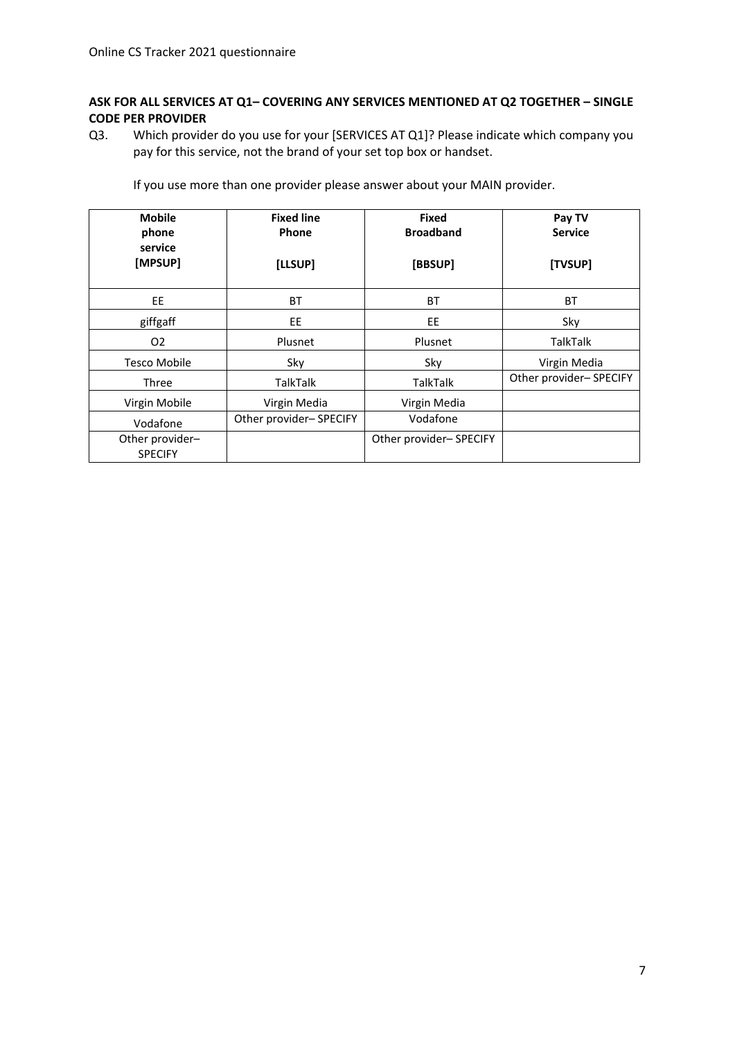#### **ASK FOR ALL SERVICES AT Q1– COVERING ANY SERVICES MENTIONED AT Q2 TOGETHER – SINGLE CODE PER PROVIDER**

Q3. Which provider do you use for your [SERVICES AT Q1]? Please indicate which company you pay for this service, not the brand of your set top box or handset.

If you use more than one provider please answer about your MAIN provider.

| <b>Mobile</b><br>phone<br>service<br>[MPSUP] | <b>Fixed line</b><br>Phone<br>[LLSUP] | <b>Fixed</b><br><b>Broadband</b><br>[BBSUP] | Pay TV<br><b>Service</b><br>[TVSUP] |
|----------------------------------------------|---------------------------------------|---------------------------------------------|-------------------------------------|
| EE.                                          | <b>BT</b>                             | <b>BT</b>                                   | <b>BT</b>                           |
| giffgaff                                     | EE.                                   | EE                                          | Sky                                 |
| O <sub>2</sub>                               | Plusnet                               | Plusnet                                     | <b>TalkTalk</b>                     |
| Tesco Mobile                                 | Sky                                   | Sky                                         | Virgin Media                        |
| <b>Three</b>                                 | <b>TalkTalk</b>                       | <b>TalkTalk</b>                             | Other provider-SPECIFY              |
| Virgin Mobile                                | Virgin Media                          | Virgin Media                                |                                     |
| Vodafone                                     | Other provider-SPECIFY                | Vodafone                                    |                                     |
| Other provider-<br><b>SPECIFY</b>            |                                       | Other provider-SPECIFY                      |                                     |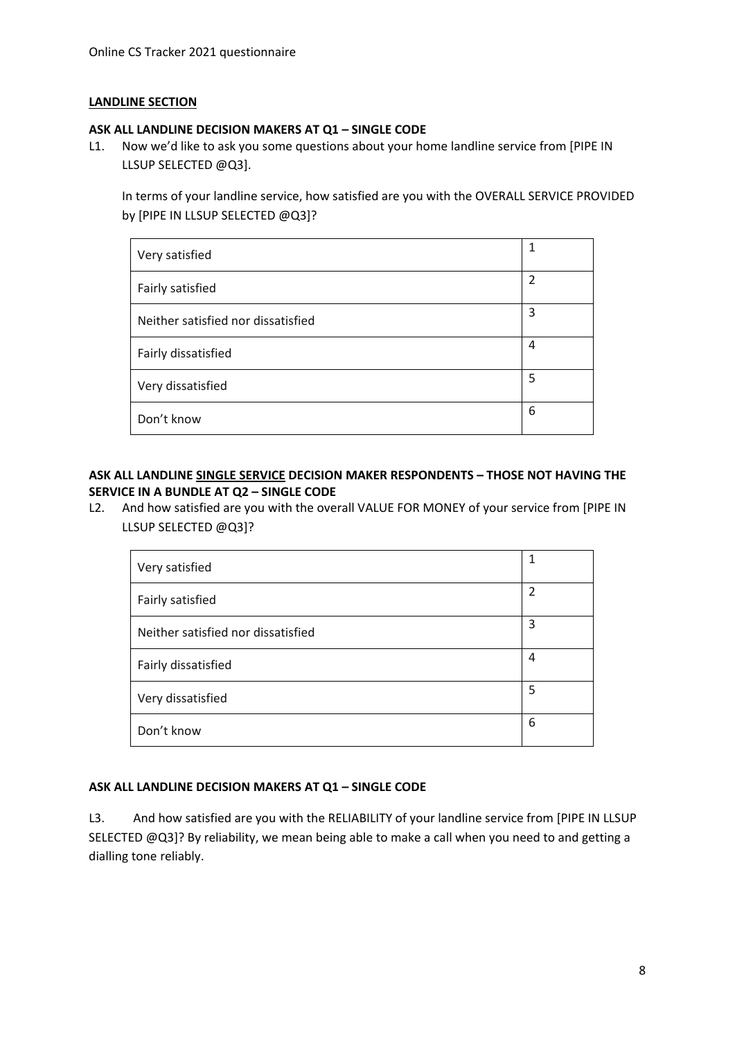#### **LANDLINE SECTION**

#### **ASK ALL LANDLINE DECISION MAKERS AT Q1 – SINGLE CODE**

L1. Now we'd like to ask you some questions about your home landline service from [PIPE IN LLSUP SELECTED @Q3].

In terms of your landline service, how satisfied are you with the OVERALL SERVICE PROVIDED by [PIPE IN LLSUP SELECTED @Q3]?

| Very satisfied                     | 1 |
|------------------------------------|---|
| Fairly satisfied                   | 2 |
| Neither satisfied nor dissatisfied | 3 |
| Fairly dissatisfied                | 4 |
| Very dissatisfied                  | 5 |
| Don't know                         | 6 |

#### **ASK ALL LANDLINE SINGLE SERVICE DECISION MAKER RESPONDENTS – THOSE NOT HAVING THE SERVICE IN A BUNDLE AT Q2 – SINGLE CODE**

L2. And how satisfied are you with the overall VALUE FOR MONEY of your service from [PIPE IN LLSUP SELECTED @Q3]?

| Very satisfied                     | 1 |
|------------------------------------|---|
| Fairly satisfied                   | 2 |
| Neither satisfied nor dissatisfied | 3 |
| Fairly dissatisfied                | 4 |
| Very dissatisfied                  | 5 |
| Don't know                         | 6 |

#### **ASK ALL LANDLINE DECISION MAKERS AT Q1 – SINGLE CODE**

L3. And how satisfied are you with the RELIABILITY of your landline service from [PIPE IN LLSUP SELECTED @Q3]? By reliability, we mean being able to make a call when you need to and getting a dialling tone reliably.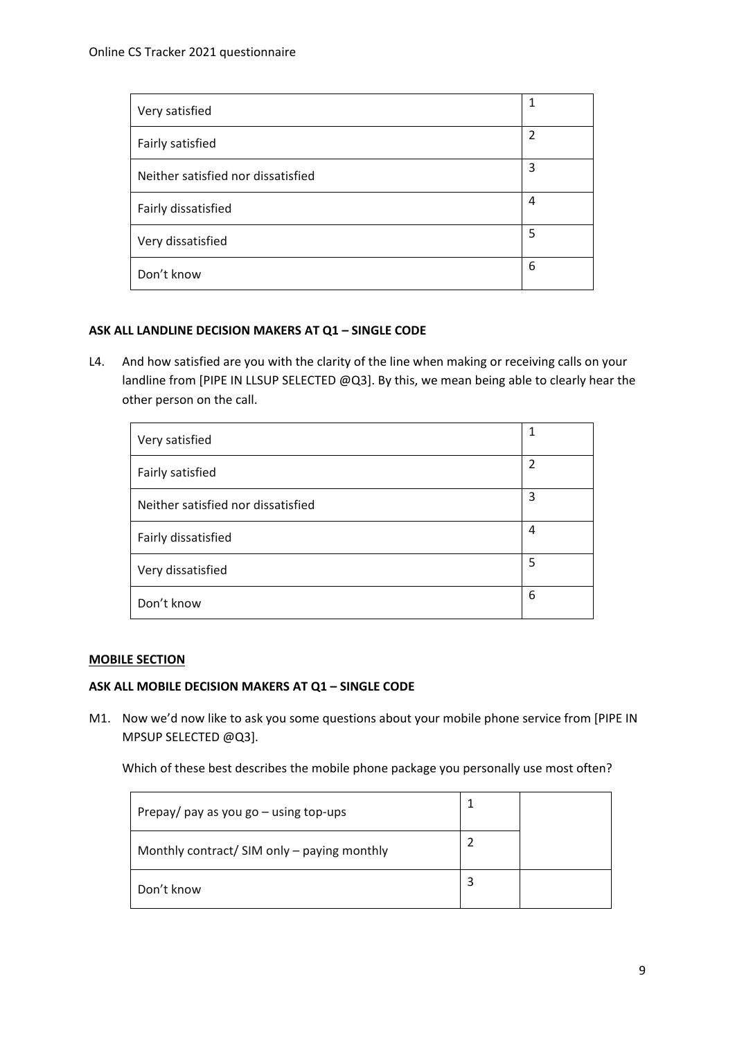| Very satisfied                     | 1 |
|------------------------------------|---|
| Fairly satisfied                   | 2 |
| Neither satisfied nor dissatisfied | 3 |
| Fairly dissatisfied                | 4 |
| Very dissatisfied                  | 5 |
| Don't know                         | 6 |

#### **ASK ALL LANDLINE DECISION MAKERS AT Q1 – SINGLE CODE**

L4. And how satisfied are you with the clarity of the line when making or receiving calls on your landline from [PIPE IN LLSUP SELECTED @Q3]. By this, we mean being able to clearly hear the other person on the call.

| Very satisfied                     | 1              |
|------------------------------------|----------------|
| Fairly satisfied                   | $\overline{2}$ |
| Neither satisfied nor dissatisfied | 3              |
| Fairly dissatisfied                | 4              |
| Very dissatisfied                  | 5              |
| Don't know                         | 6              |

#### **MOBILE SECTION**

#### **ASK ALL MOBILE DECISION MAKERS AT Q1 – SINGLE CODE**

M1. Now we'd now like to ask you some questions about your mobile phone service from [PIPE IN MPSUP SELECTED @Q3].

Which of these best describes the mobile phone package you personally use most often?

| Prepay/ pay as you go $-$ using top-ups     |  |
|---------------------------------------------|--|
| Monthly contract/ SIM only – paying monthly |  |
| Don't know                                  |  |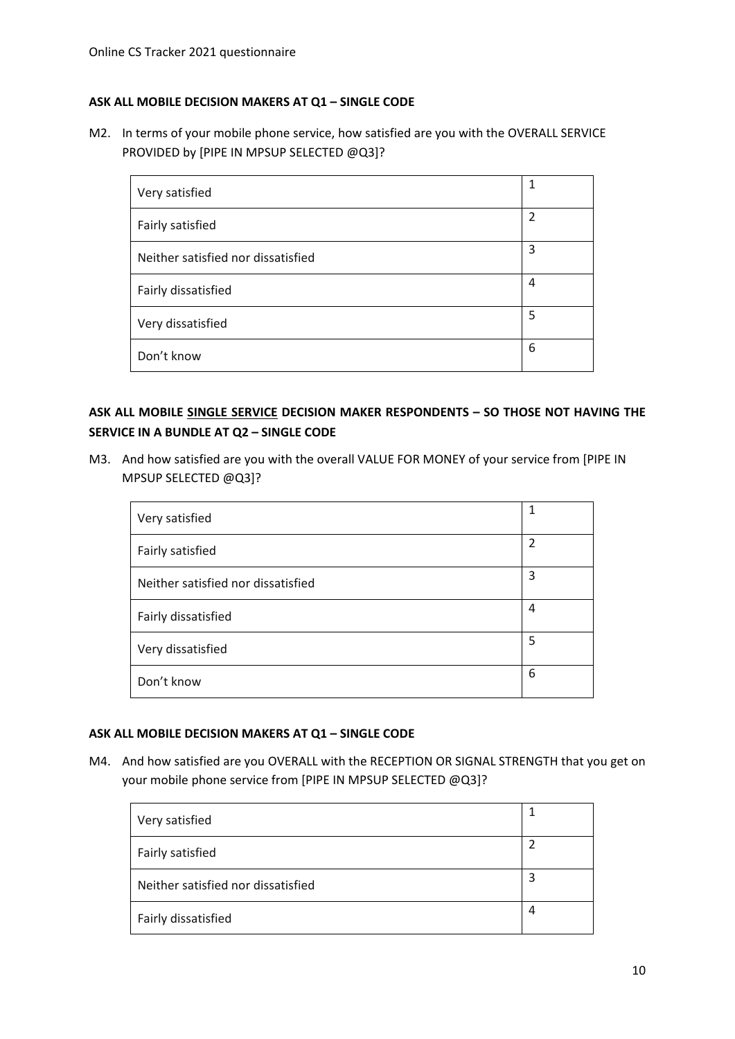#### **ASK ALL MOBILE DECISION MAKERS AT Q1 – SINGLE CODE**

M2. In terms of your mobile phone service, how satisfied are you with the OVERALL SERVICE PROVIDED by [PIPE IN MPSUP SELECTED @Q3]?

| Very satisfied                     | 1              |
|------------------------------------|----------------|
| Fairly satisfied                   | $\overline{2}$ |
| Neither satisfied nor dissatisfied | 3              |
| Fairly dissatisfied                | 4              |
| Very dissatisfied                  | 5              |
| Don't know                         | 6              |

# **ASK ALL MOBILE SINGLE SERVICE DECISION MAKER RESPONDENTS – SO THOSE NOT HAVING THE SERVICE IN A BUNDLE AT Q2 – SINGLE CODE**

M3. And how satisfied are you with the overall VALUE FOR MONEY of your service from [PIPE IN MPSUP SELECTED @Q3]?

| Very satisfied                     | 1              |
|------------------------------------|----------------|
| Fairly satisfied                   | $\overline{2}$ |
| Neither satisfied nor dissatisfied | 3              |
| Fairly dissatisfied                | 4              |
| Very dissatisfied                  | 5              |
| Don't know                         | 6              |

#### **ASK ALL MOBILE DECISION MAKERS AT Q1 – SINGLE CODE**

M4. And how satisfied are you OVERALL with the RECEPTION OR SIGNAL STRENGTH that you get on your mobile phone service from [PIPE IN MPSUP SELECTED @Q3]?

| Very satisfied                     |   |
|------------------------------------|---|
| Fairly satisfied                   |   |
| Neither satisfied nor dissatisfied | 3 |
| Fairly dissatisfied                | 4 |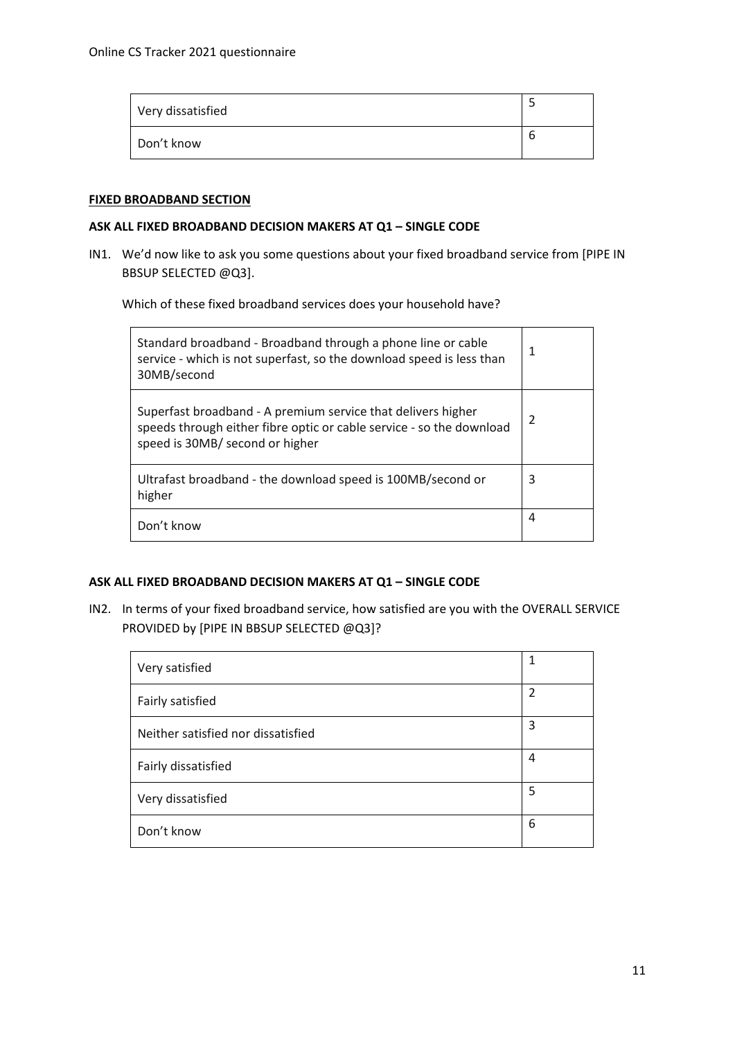| Very dissatisfied |   |
|-------------------|---|
| Don't know        | O |

#### **FIXED BROADBAND SECTION**

#### **ASK ALL FIXED BROADBAND DECISION MAKERS AT Q1 – SINGLE CODE**

IN1. We'd now like to ask you some questions about your fixed broadband service from [PIPE IN BBSUP SELECTED @Q3].

Which of these fixed broadband services does your household have?

| Standard broadband - Broadband through a phone line or cable<br>service - which is not superfast, so the download speed is less than<br>30MB/second                     | 1              |
|-------------------------------------------------------------------------------------------------------------------------------------------------------------------------|----------------|
| Superfast broadband - A premium service that delivers higher<br>speeds through either fibre optic or cable service - so the download<br>speed is 30MB/ second or higher | $\mathfrak{p}$ |
| Ultrafast broadband - the download speed is 100MB/second or<br>higher                                                                                                   | 3              |
| Don't know                                                                                                                                                              | 4              |

#### **ASK ALL FIXED BROADBAND DECISION MAKERS AT Q1 – SINGLE CODE**

IN2. In terms of your fixed broadband service, how satisfied are you with the OVERALL SERVICE PROVIDED by [PIPE IN BBSUP SELECTED @Q3]?

| Very satisfied                     | 1 |
|------------------------------------|---|
| Fairly satisfied                   | 2 |
| Neither satisfied nor dissatisfied | 3 |
| Fairly dissatisfied                | 4 |
| Very dissatisfied                  | 5 |
| Don't know                         | 6 |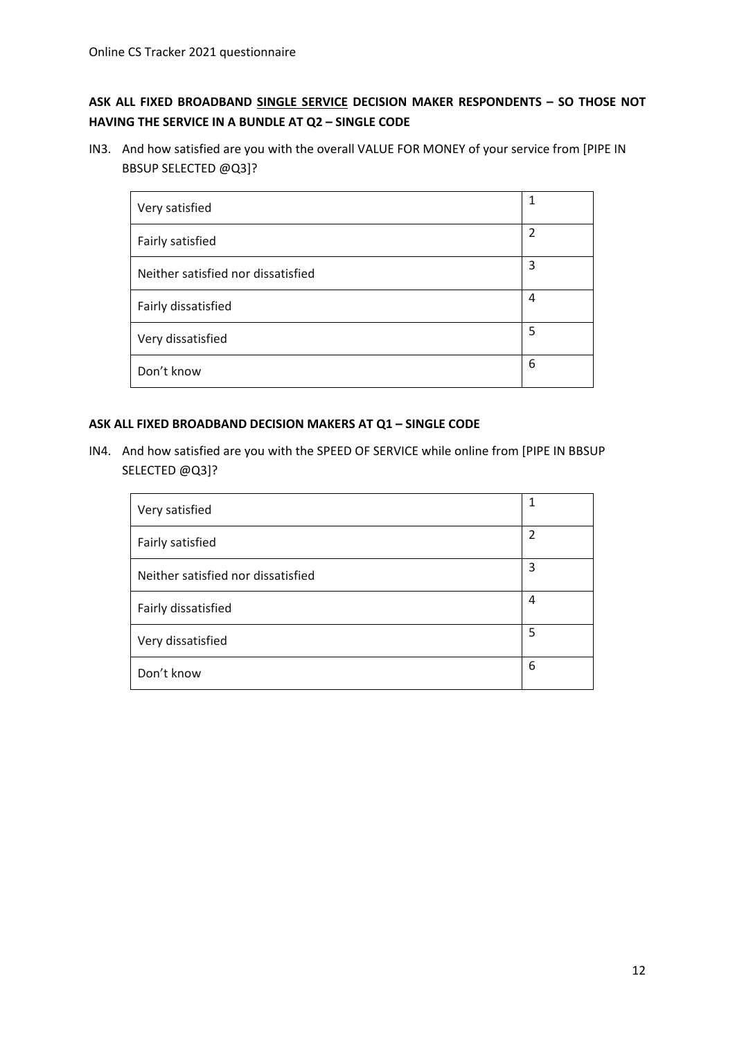# **ASK ALL FIXED BROADBAND SINGLE SERVICE DECISION MAKER RESPONDENTS – SO THOSE NOT HAVING THE SERVICE IN A BUNDLE AT Q2 – SINGLE CODE**

IN3. And how satisfied are you with the overall VALUE FOR MONEY of your service from [PIPE IN BBSUP SELECTED @Q3]?

| Very satisfied                     | 1              |
|------------------------------------|----------------|
| Fairly satisfied                   | $\overline{2}$ |
| Neither satisfied nor dissatisfied | 3              |
| Fairly dissatisfied                | 4              |
| Very dissatisfied                  | 5              |
| Don't know                         | 6              |

## **ASK ALL FIXED BROADBAND DECISION MAKERS AT Q1 – SINGLE CODE**

IN4. And how satisfied are you with the SPEED OF SERVICE while online from [PIPE IN BBSUP SELECTED @Q3]?

| Very satisfied                     | 1              |
|------------------------------------|----------------|
| Fairly satisfied                   | $\overline{2}$ |
| Neither satisfied nor dissatisfied | 3              |
| Fairly dissatisfied                | 4              |
| Very dissatisfied                  | 5              |
| Don't know                         | 6              |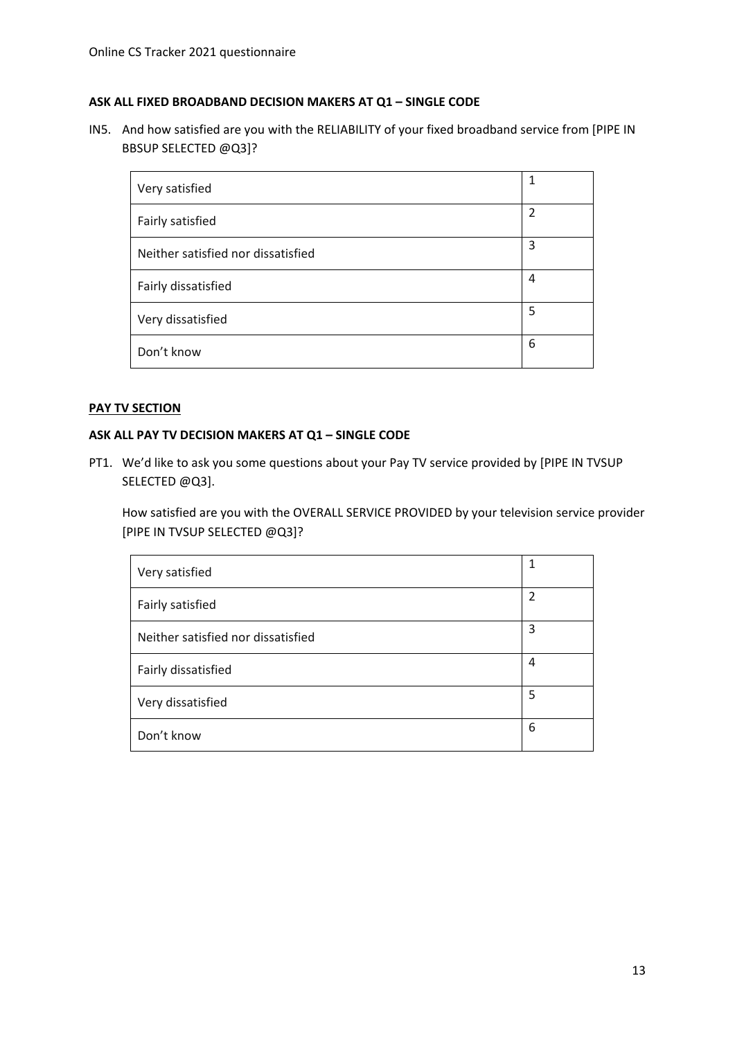#### **ASK ALL FIXED BROADBAND DECISION MAKERS AT Q1 – SINGLE CODE**

IN5. And how satisfied are you with the RELIABILITY of your fixed broadband service from [PIPE IN BBSUP SELECTED @Q3]?

| Very satisfied                     |                |
|------------------------------------|----------------|
| Fairly satisfied                   | $\overline{2}$ |
| Neither satisfied nor dissatisfied | 3              |
| Fairly dissatisfied                | 4              |
| Very dissatisfied                  | 5              |
| Don't know                         | 6              |

#### **PAY TV SECTION**

#### **ASK ALL PAY TV DECISION MAKERS AT Q1 – SINGLE CODE**

PT1. We'd like to ask you some questions about your Pay TV service provided by [PIPE IN TVSUP SELECTED @Q3].

How satisfied are you with the OVERALL SERVICE PROVIDED by your television service provider [PIPE IN TVSUP SELECTED @Q3]?

| Very satisfied                     |                |
|------------------------------------|----------------|
| Fairly satisfied                   | $\overline{2}$ |
| Neither satisfied nor dissatisfied | 3              |
| Fairly dissatisfied                | 4              |
| Very dissatisfied                  | 5              |
| Don't know                         | 6              |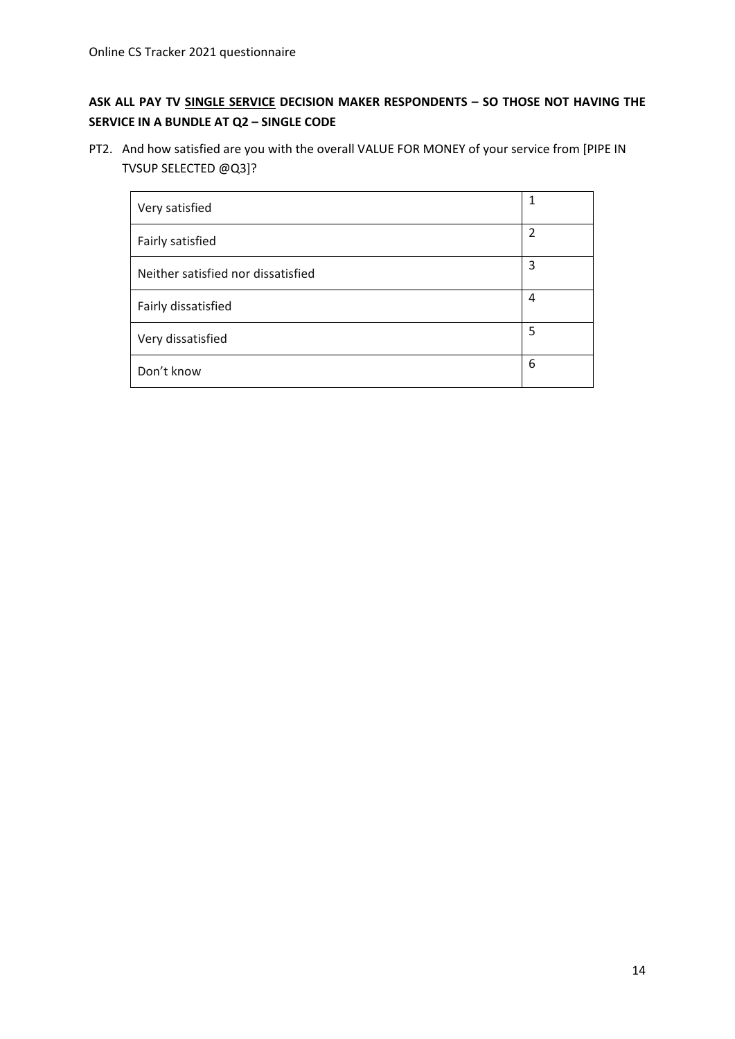# **ASK ALL PAY TV SINGLE SERVICE DECISION MAKER RESPONDENTS – SO THOSE NOT HAVING THE SERVICE IN A BUNDLE AT Q2 – SINGLE CODE**

PT2. And how satisfied are you with the overall VALUE FOR MONEY of your service from [PIPE IN TVSUP SELECTED @Q3]?

| Very satisfied                     | 1              |
|------------------------------------|----------------|
| Fairly satisfied                   | $\overline{2}$ |
| Neither satisfied nor dissatisfied | 3              |
| Fairly dissatisfied                | 4              |
| Very dissatisfied                  | 5              |
| Don't know                         | 6              |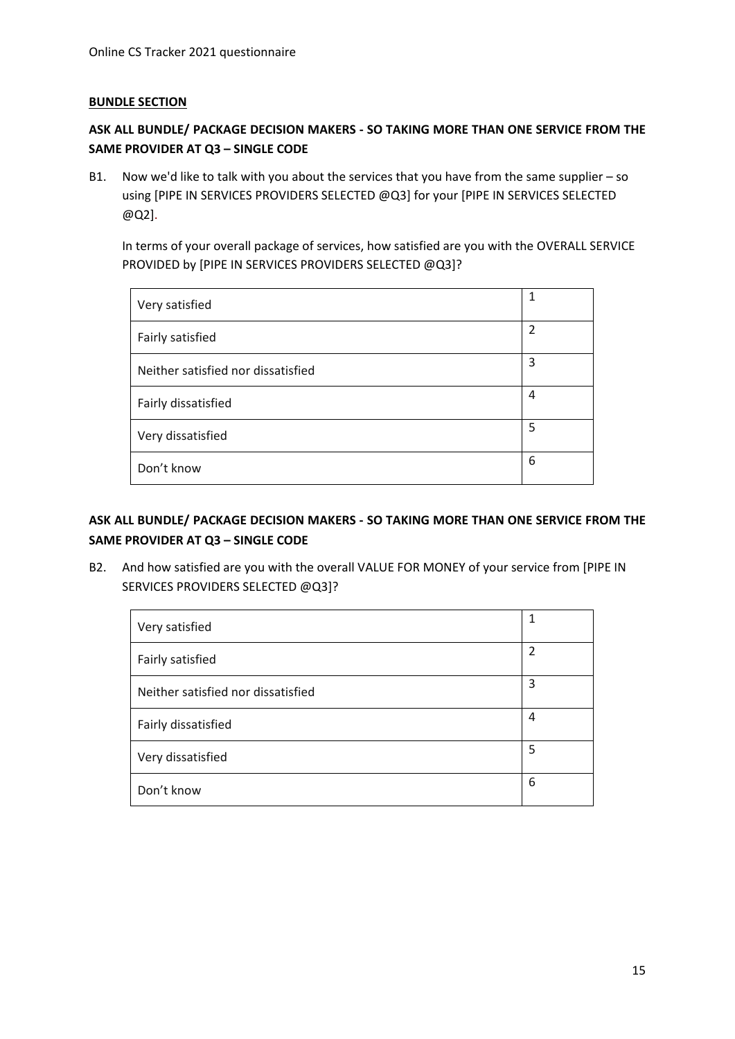#### **BUNDLE SECTION**

# **ASK ALL BUNDLE/ PACKAGE DECISION MAKERS - SO TAKING MORE THAN ONE SERVICE FROM THE SAME PROVIDER AT Q3 – SINGLE CODE**

B1. Now we'd like to talk with you about the services that you have from the same supplier – so using [PIPE IN SERVICES PROVIDERS SELECTED @Q3] for your [PIPE IN SERVICES SELECTED @Q2].

In terms of your overall package of services, how satisfied are you with the OVERALL SERVICE PROVIDED by [PIPE IN SERVICES PROVIDERS SELECTED @Q3]?

| Very satisfied                     | 1              |
|------------------------------------|----------------|
| Fairly satisfied                   | $\overline{2}$ |
| Neither satisfied nor dissatisfied | 3              |
| Fairly dissatisfied                | 4              |
| Very dissatisfied                  | 5              |
| Don't know                         | 6              |

# **ASK ALL BUNDLE/ PACKAGE DECISION MAKERS - SO TAKING MORE THAN ONE SERVICE FROM THE SAME PROVIDER AT Q3 – SINGLE CODE**

B2. And how satisfied are you with the overall VALUE FOR MONEY of your service from [PIPE IN SERVICES PROVIDERS SELECTED @Q3]?

| Very satisfied                     | 1 |
|------------------------------------|---|
| Fairly satisfied                   | 2 |
| Neither satisfied nor dissatisfied | 3 |
| Fairly dissatisfied                | 4 |
| Very dissatisfied                  | 5 |
| Don't know                         | 6 |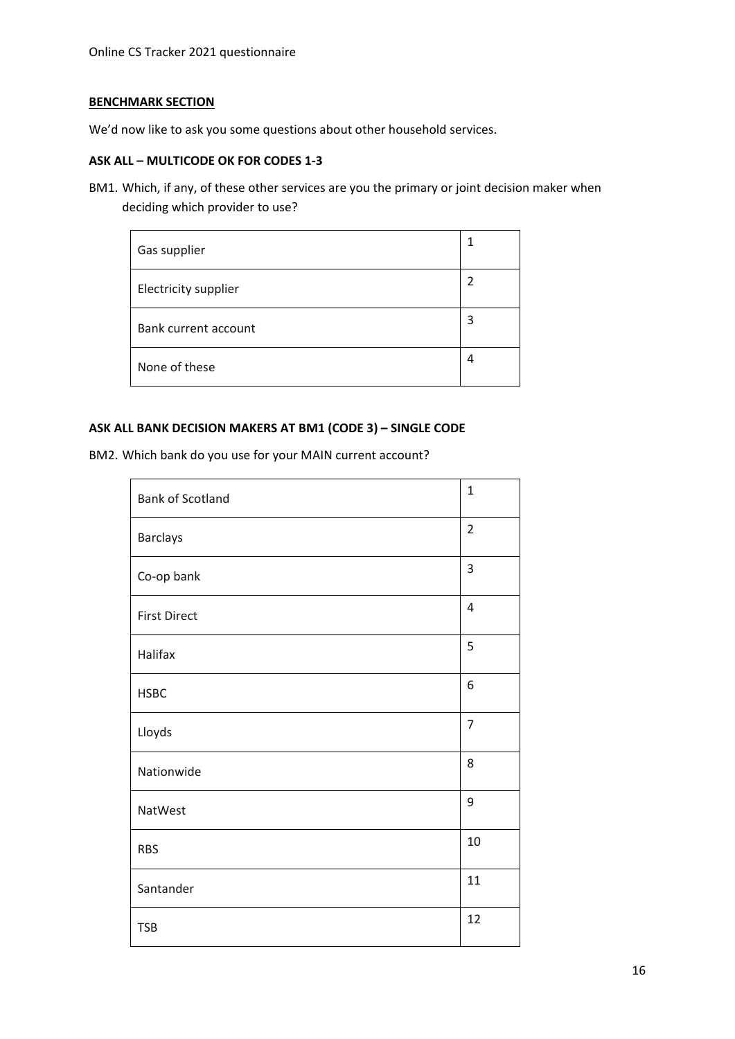### **BENCHMARK SECTION**

We'd now like to ask you some questions about other household services.

#### **ASK ALL – MULTICODE OK FOR CODES 1-3**

BM1. Which, if any, of these other services are you the primary or joint decision maker when deciding which provider to use?

| Gas supplier         |   |
|----------------------|---|
| Electricity supplier |   |
| Bank current account | 3 |
| None of these        | 4 |

#### **ASK ALL BANK DECISION MAKERS AT BM1 (CODE 3) – SINGLE CODE**

BM2. Which bank do you use for your MAIN current account?

| <b>Bank of Scotland</b> | $\mathbf{1}$   |
|-------------------------|----------------|
| <b>Barclays</b>         | $\overline{2}$ |
| Co-op bank              | 3              |
| <b>First Direct</b>     | $\overline{4}$ |
| Halifax                 | 5              |
| <b>HSBC</b>             | 6              |
| Lloyds                  | $\overline{7}$ |
| Nationwide              | 8              |
| NatWest                 | 9              |
| <b>RBS</b>              | 10             |
| Santander               | 11             |
| <b>TSB</b>              | 12             |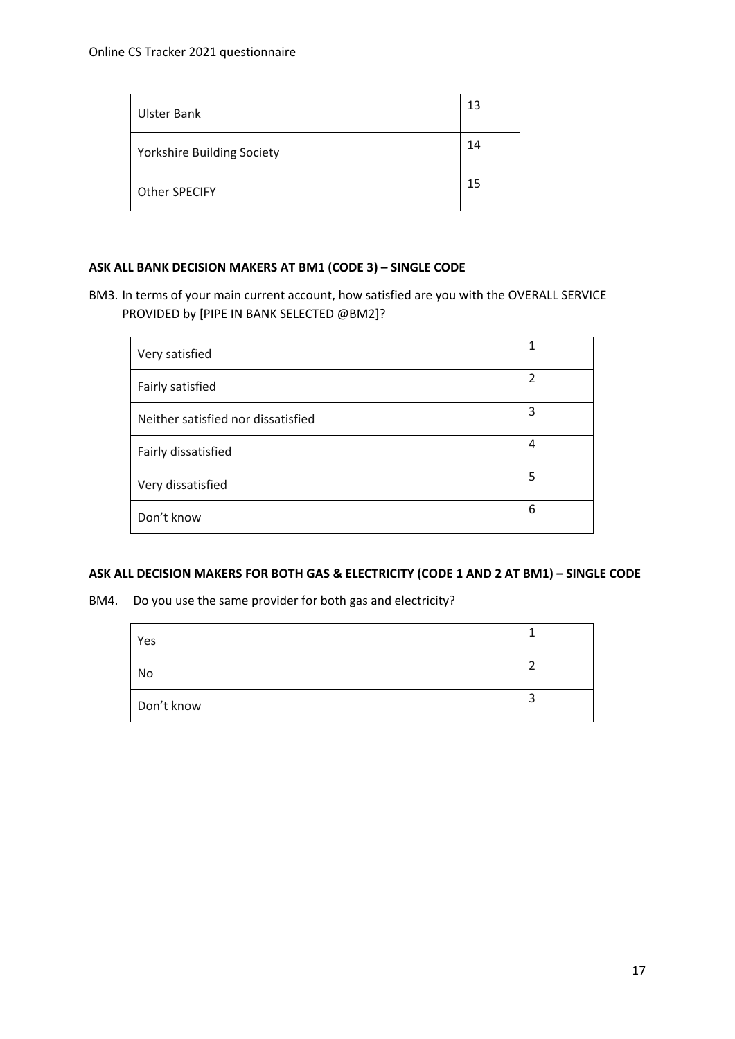| Ulster Bank                       | 13 |
|-----------------------------------|----|
| <b>Yorkshire Building Society</b> | 14 |
| Other SPECIFY                     | 15 |

#### **ASK ALL BANK DECISION MAKERS AT BM1 (CODE 3) – SINGLE CODE**

BM3. In terms of your main current account, how satisfied are you with the OVERALL SERVICE PROVIDED by [PIPE IN BANK SELECTED @BM2]?

| Very satisfied                     | 1              |
|------------------------------------|----------------|
| Fairly satisfied                   | $\overline{2}$ |
| Neither satisfied nor dissatisfied | 3              |
| Fairly dissatisfied                | 4              |
| Very dissatisfied                  | 5              |
| Don't know                         | 6              |

#### **ASK ALL DECISION MAKERS FOR BOTH GAS & ELECTRICITY (CODE 1 AND 2 AT BM1) – SINGLE CODE**

BM4. Do you use the same provider for both gas and electricity?

| Yes        |  |
|------------|--|
| No         |  |
| Don't know |  |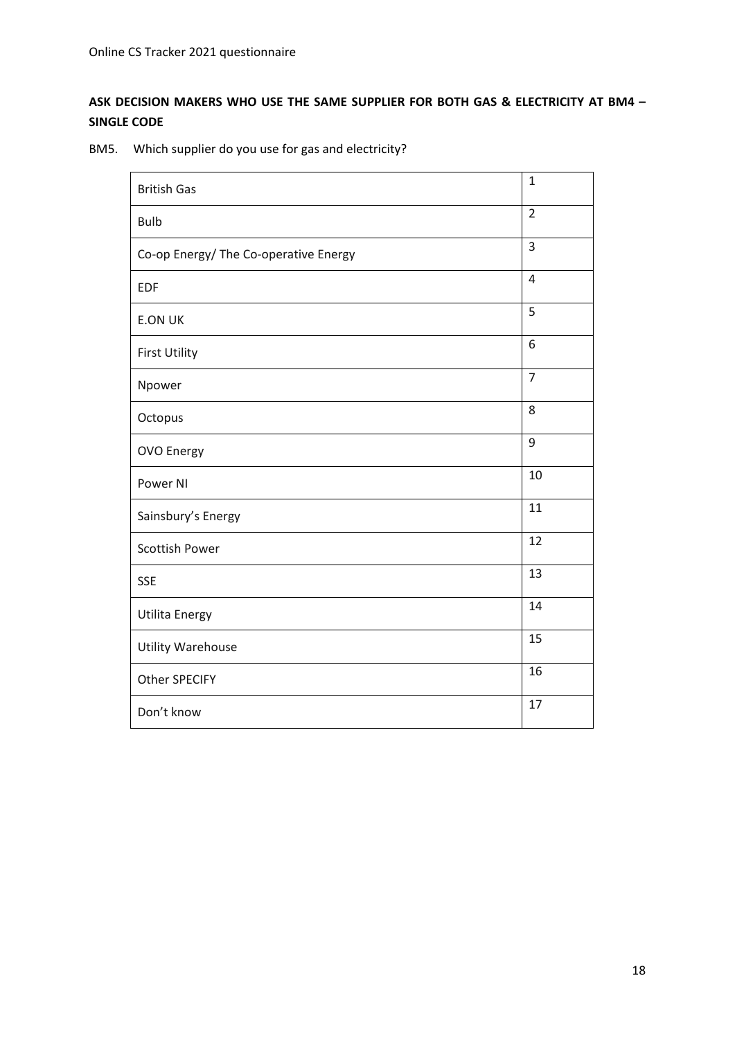# **ASK DECISION MAKERS WHO USE THE SAME SUPPLIER FOR BOTH GAS & ELECTRICITY AT BM4 – SINGLE CODE**

BM5. Which supplier do you use for gas and electricity?

| <b>British Gas</b>                    | $\mathbf{1}$   |
|---------------------------------------|----------------|
| <b>Bulb</b>                           | $\overline{2}$ |
| Co-op Energy/ The Co-operative Energy | 3              |
| <b>EDF</b>                            | $\overline{4}$ |
| <b>E.ON UK</b>                        | 5              |
| <b>First Utility</b>                  | 6              |
| Npower                                | $\overline{7}$ |
| Octopus                               | 8              |
| <b>OVO Energy</b>                     | 9              |
| Power NI                              | 10             |
| Sainsbury's Energy                    | 11             |
| Scottish Power                        | 12             |
| <b>SSE</b>                            | 13             |
| Utilita Energy                        | 14             |
| <b>Utility Warehouse</b>              | 15             |
| <b>Other SPECIFY</b>                  | 16             |
| Don't know                            | 17             |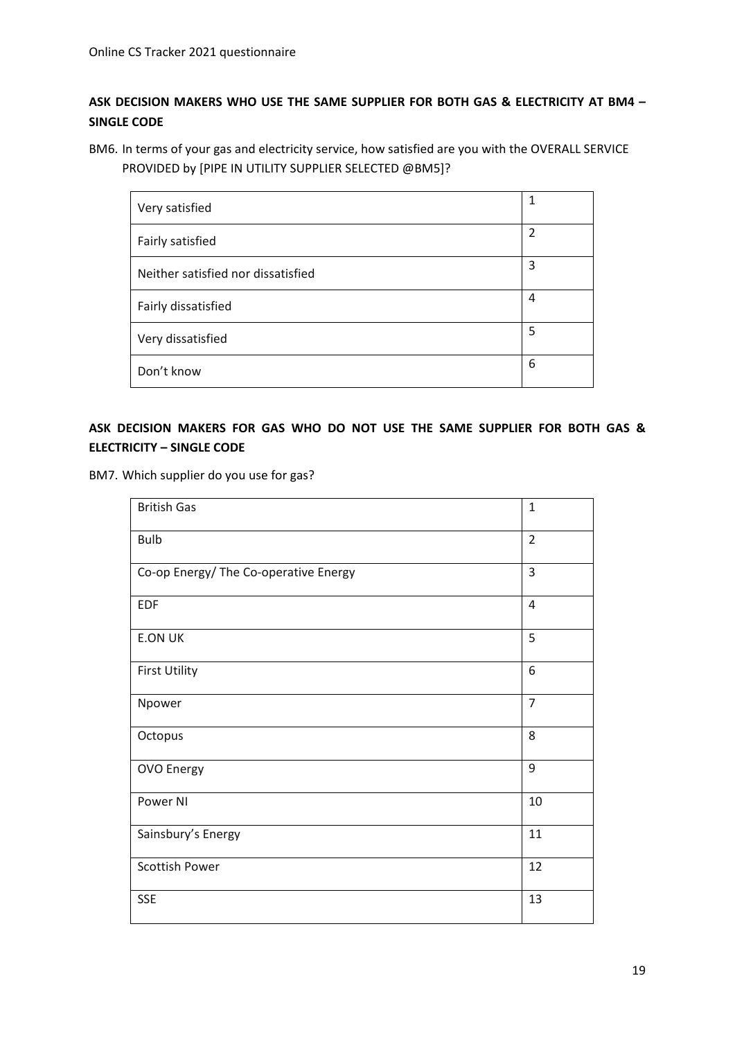# **ASK DECISION MAKERS WHO USE THE SAME SUPPLIER FOR BOTH GAS & ELECTRICITY AT BM4 – SINGLE CODE**

BM6. In terms of your gas and electricity service, how satisfied are you with the OVERALL SERVICE PROVIDED by [PIPE IN UTILITY SUPPLIER SELECTED @BM5]?

| Very satisfied                     | 1 |
|------------------------------------|---|
| Fairly satisfied                   | 2 |
| Neither satisfied nor dissatisfied | 3 |
| Fairly dissatisfied                | 4 |
| Very dissatisfied                  | 5 |
| Don't know                         | 6 |

# **ASK DECISION MAKERS FOR GAS WHO DO NOT USE THE SAME SUPPLIER FOR BOTH GAS & ELECTRICITY – SINGLE CODE**

BM7. Which supplier do you use for gas?

| <b>British Gas</b>                    | $\mathbf{1}$   |
|---------------------------------------|----------------|
| <b>Bulb</b>                           | $\overline{2}$ |
| Co-op Energy/ The Co-operative Energy | 3              |
| <b>EDF</b>                            | $\overline{4}$ |
| <b>E.ON UK</b>                        | 5              |
| <b>First Utility</b>                  | 6              |
| Npower                                | $\overline{7}$ |
| Octopus                               | 8              |
| OVO Energy                            | 9              |
| Power NI                              | 10             |
| Sainsbury's Energy                    | 11             |
| Scottish Power                        | 12             |
| <b>SSE</b>                            | 13             |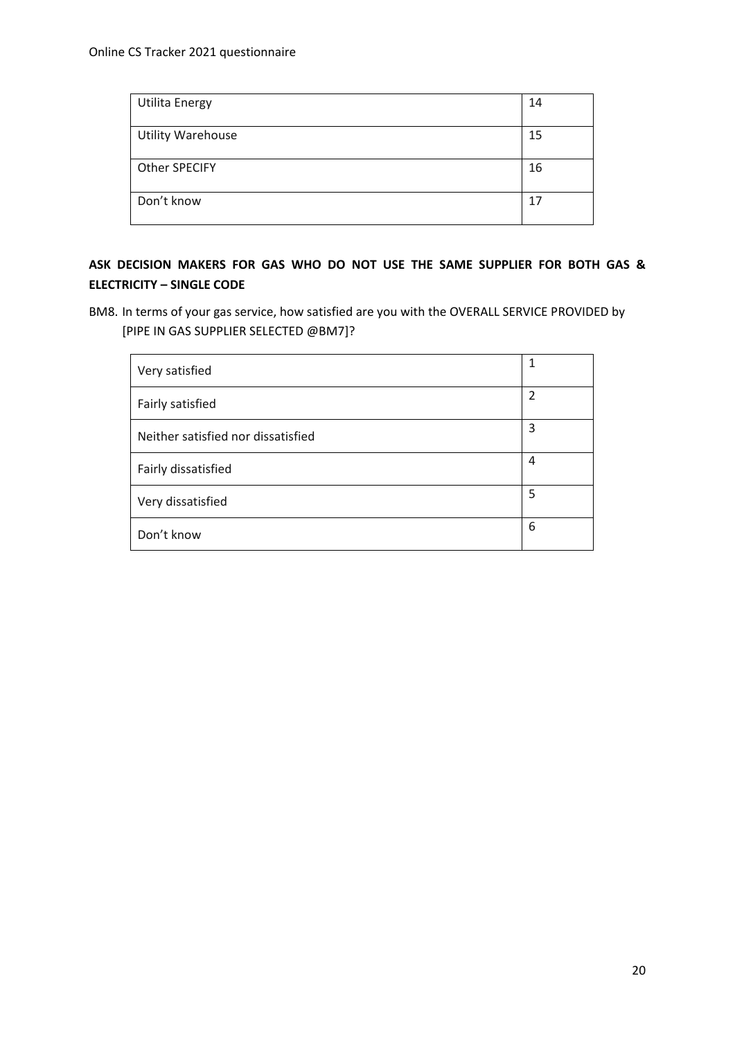| <b>Utilita Energy</b>    | 14 |
|--------------------------|----|
| <b>Utility Warehouse</b> | 15 |
| Other SPECIFY            | 16 |
| Don't know               | 17 |

# **ASK DECISION MAKERS FOR GAS WHO DO NOT USE THE SAME SUPPLIER FOR BOTH GAS & ELECTRICITY – SINGLE CODE**

BM8. In terms of your gas service, how satisfied are you with the OVERALL SERVICE PROVIDED by [PIPE IN GAS SUPPLIER SELECTED @BM7]?

| Very satisfied                     | 1 |
|------------------------------------|---|
| Fairly satisfied                   | 2 |
| Neither satisfied nor dissatisfied | 3 |
| Fairly dissatisfied                | 4 |
| Very dissatisfied                  | 5 |
| Don't know                         | 6 |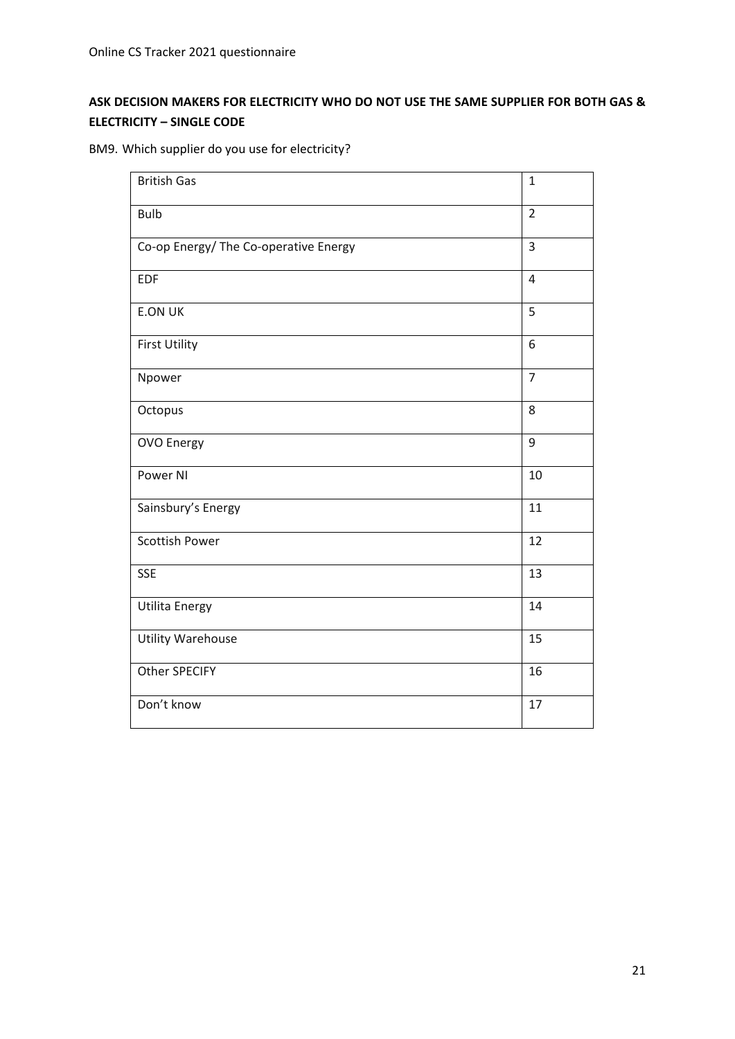# **ASK DECISION MAKERS FOR ELECTRICITY WHO DO NOT USE THE SAME SUPPLIER FOR BOTH GAS & ELECTRICITY – SINGLE CODE**

|  | BM9. Which supplier do you use for electricity? |  |  |  |
|--|-------------------------------------------------|--|--|--|
|  |                                                 |  |  |  |

| <b>British Gas</b>                    | $\mathbf{1}$   |
|---------------------------------------|----------------|
| <b>Bulb</b>                           | $\overline{2}$ |
| Co-op Energy/ The Co-operative Energy | $\overline{3}$ |
| <b>EDF</b>                            | $\overline{4}$ |
| <b>E.ON UK</b>                        | 5              |
| <b>First Utility</b>                  | 6              |
| Npower                                | $\overline{7}$ |
| Octopus                               | 8              |
| <b>OVO Energy</b>                     | 9              |
| Power NI                              | 10             |
| Sainsbury's Energy                    | 11             |
| <b>Scottish Power</b>                 | 12             |
| <b>SSE</b>                            | 13             |
| <b>Utilita Energy</b>                 | 14             |
| <b>Utility Warehouse</b>              | 15             |
| <b>Other SPECIFY</b>                  | 16             |
| Don't know                            | 17             |
|                                       |                |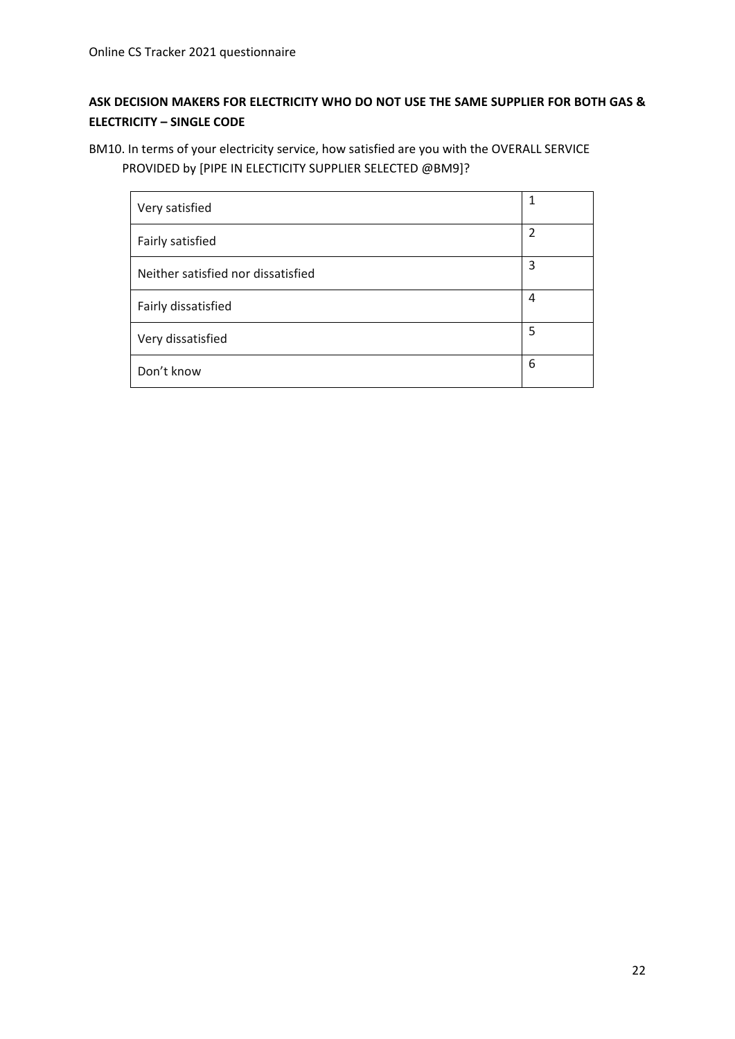# **ASK DECISION MAKERS FOR ELECTRICITY WHO DO NOT USE THE SAME SUPPLIER FOR BOTH GAS & ELECTRICITY – SINGLE CODE**

BM10. In terms of your electricity service, how satisfied are you with the OVERALL SERVICE PROVIDED by [PIPE IN ELECTICITY SUPPLIER SELECTED @BM9]?

| Very satisfied                     | 1              |
|------------------------------------|----------------|
| Fairly satisfied                   | $\overline{2}$ |
| Neither satisfied nor dissatisfied | 3              |
| Fairly dissatisfied                | 4              |
| Very dissatisfied                  | 5              |
| Don't know                         | 6              |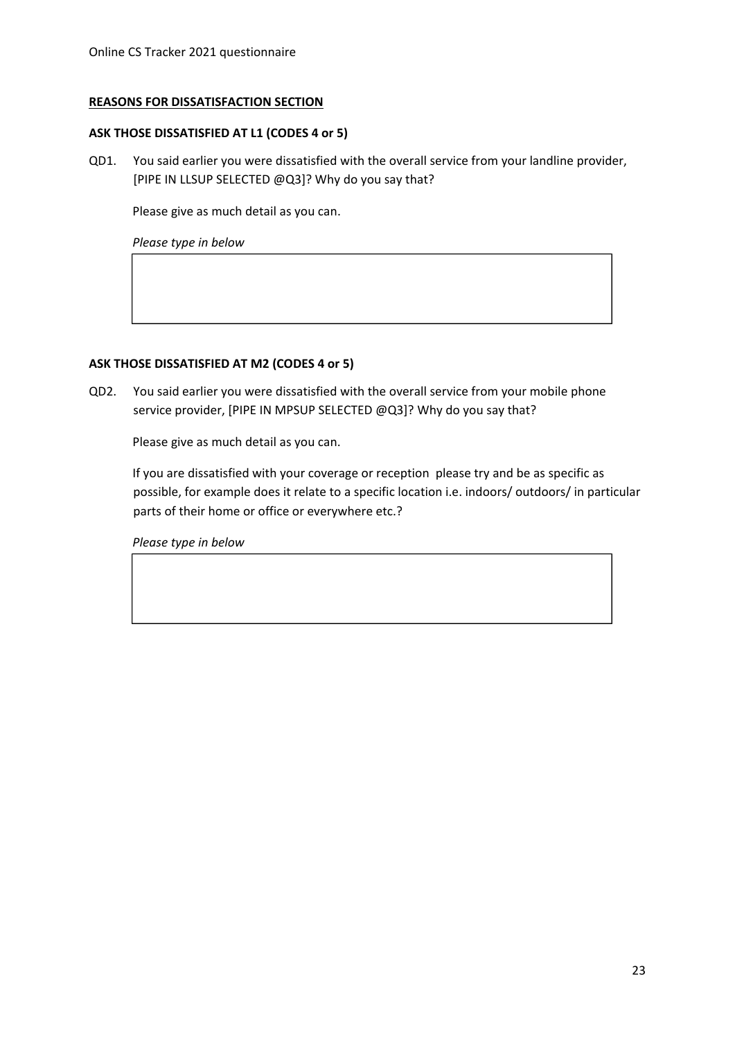#### **REASONS FOR DISSATISFACTION SECTION**

#### **ASK THOSE DISSATISFIED AT L1 (CODES 4 or 5)**

QD1. You said earlier you were dissatisfied with the overall service from your landline provider, [PIPE IN LLSUP SELECTED @Q3]? Why do you say that?

Please give as much detail as you can.

*Please type in below*

#### **ASK THOSE DISSATISFIED AT M2 (CODES 4 or 5)**

QD2. You said earlier you were dissatisfied with the overall service from your mobile phone service provider, [PIPE IN MPSUP SELECTED @Q3]? Why do you say that?

Please give as much detail as you can.

If you are dissatisfied with your coverage or reception please try and be as specific as possible, for example does it relate to a specific location i.e. indoors/ outdoors/ in particular parts of their home or office or everywhere etc.?

*Please type in below*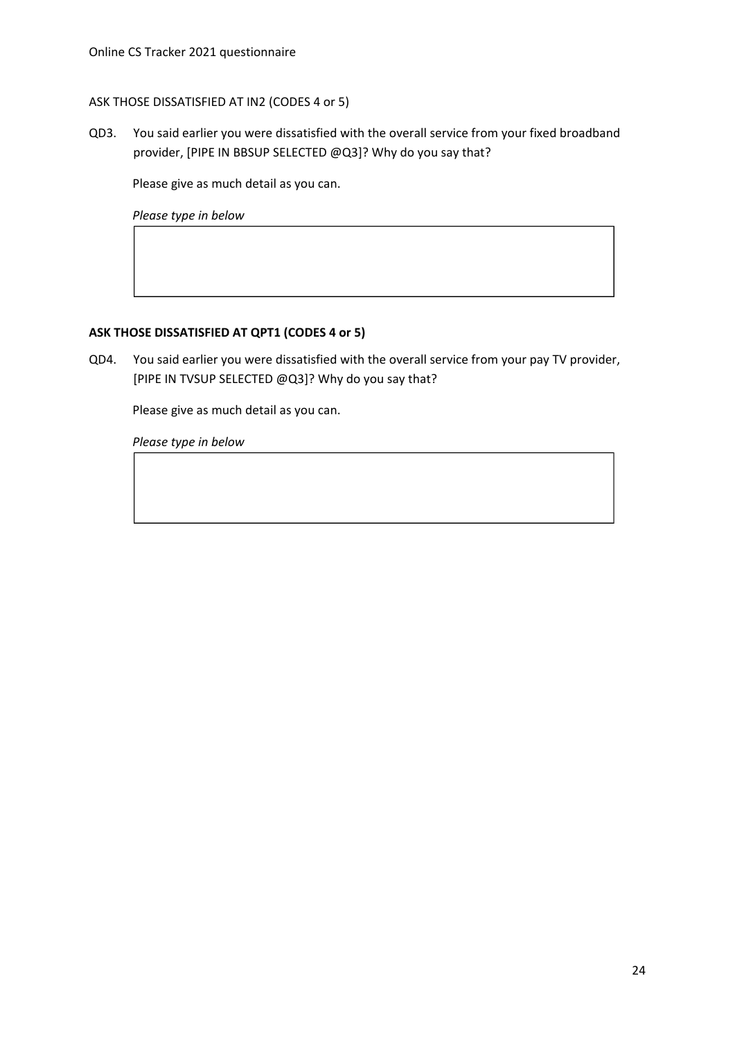## ASK THOSE DISSATISFIED AT IN2 (CODES 4 or 5)

QD3. You said earlier you were dissatisfied with the overall service from your fixed broadband provider, [PIPE IN BBSUP SELECTED @Q3]? Why do you say that?

Please give as much detail as you can.

*Please type in below*

#### **ASK THOSE DISSATISFIED AT QPT1 (CODES 4 or 5)**

QD4. You said earlier you were dissatisfied with the overall service from your pay TV provider, [PIPE IN TVSUP SELECTED @Q3]? Why do you say that?

Please give as much detail as you can.

*Please type in below*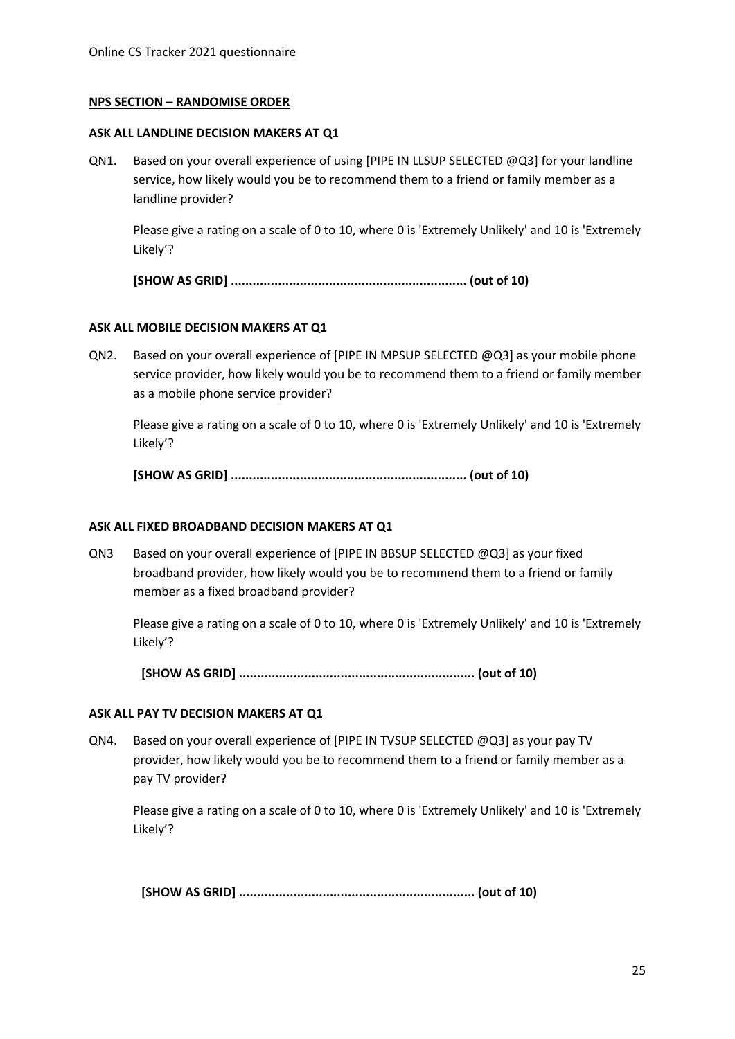#### **NPS SECTION – RANDOMISE ORDER**

#### **ASK ALL LANDLINE DECISION MAKERS AT Q1**

QN1. Based on your overall experience of using [PIPE IN LLSUP SELECTED @Q3] for your landline service, how likely would you be to recommend them to a friend or family member as a landline provider?

Please give a rating on a scale of 0 to 10, where 0 is 'Extremely Unlikely' and 10 is 'Extremely Likely'?

**[SHOW AS GRID] ................................................................. (out of 10)**

#### **ASK ALL MOBILE DECISION MAKERS AT Q1**

QN2. Based on your overall experience of [PIPE IN MPSUP SELECTED @Q3] as your mobile phone service provider, how likely would you be to recommend them to a friend or family member as a mobile phone service provider?

Please give a rating on a scale of 0 to 10, where 0 is 'Extremely Unlikely' and 10 is 'Extremely Likely'?

**[SHOW AS GRID] ................................................................. (out of 10)**

#### **ASK ALL FIXED BROADBAND DECISION MAKERS AT Q1**

QN3 Based on your overall experience of [PIPE IN BBSUP SELECTED @Q3] as your fixed broadband provider, how likely would you be to recommend them to a friend or family member as a fixed broadband provider?

Please give a rating on a scale of 0 to 10, where 0 is 'Extremely Unlikely' and 10 is 'Extremely Likely'?

**[SHOW AS GRID] ................................................................. (out of 10)**

#### **ASK ALL PAY TV DECISION MAKERS AT Q1**

QN4. Based on your overall experience of [PIPE IN TVSUP SELECTED @Q3] as your pay TV provider, how likely would you be to recommend them to a friend or family member as a pay TV provider?

Please give a rating on a scale of 0 to 10, where 0 is 'Extremely Unlikely' and 10 is 'Extremely Likely'?

**[SHOW AS GRID] ................................................................. (out of 10)**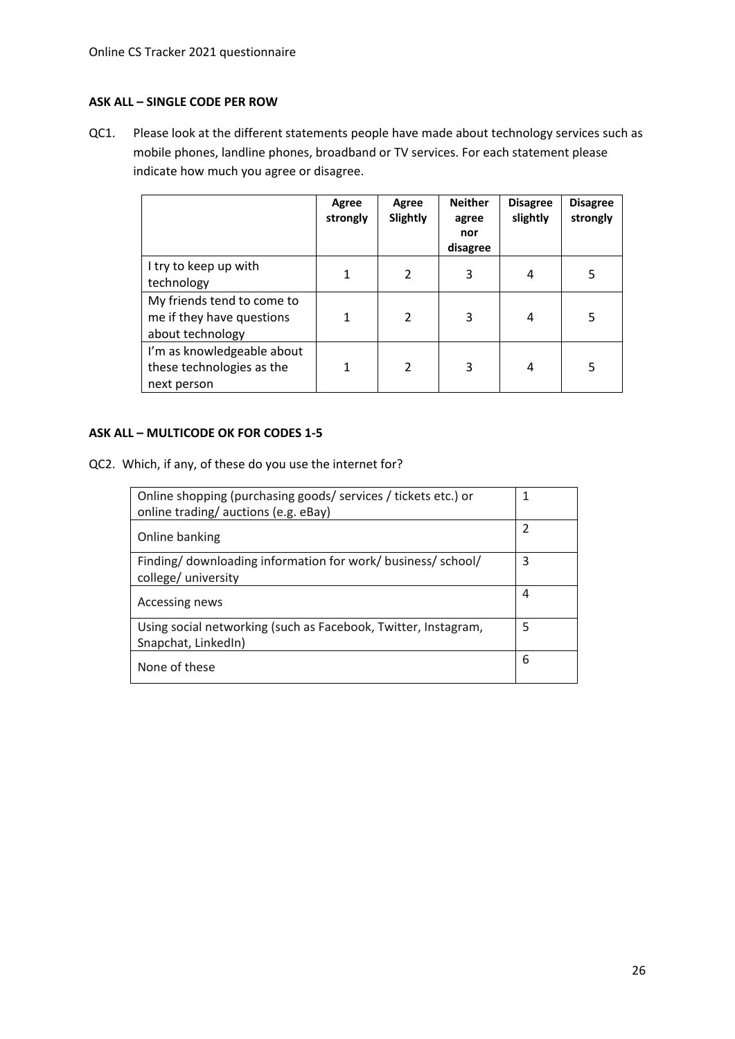#### **ASK ALL – SINGLE CODE PER ROW**

QC1. Please look at the different statements people have made about technology services such as mobile phones, landline phones, broadband or TV services. For each statement please indicate how much you agree or disagree.

|                                                                             | Agree<br>strongly | Agree<br>Slightly        | <b>Neither</b><br>agree<br>nor<br>disagree | <b>Disagree</b><br>slightly | <b>Disagree</b><br>strongly |
|-----------------------------------------------------------------------------|-------------------|--------------------------|--------------------------------------------|-----------------------------|-----------------------------|
| I try to keep up with<br>technology                                         |                   | $\overline{\phantom{a}}$ | 3                                          | 4                           | 5                           |
| My friends tend to come to<br>me if they have questions<br>about technology |                   | $\overline{\phantom{a}}$ | 3                                          | 4                           | 5                           |
| I'm as knowledgeable about<br>these technologies as the<br>next person      |                   | $\overline{\phantom{a}}$ | 3                                          | 4                           | 5                           |

### **ASK ALL – MULTICODE OK FOR CODES 1-5**

QC2. Which, if any, of these do you use the internet for?

| Online shopping (purchasing goods/ services / tickets etc.) or<br>online trading/auctions (e.g. eBay) | 1 |
|-------------------------------------------------------------------------------------------------------|---|
| Online banking                                                                                        | 2 |
| Finding/ downloading information for work/ business/ school/<br>college/ university                   | 3 |
| Accessing news                                                                                        | 4 |
| Using social networking (such as Facebook, Twitter, Instagram,<br>Snapchat, LinkedIn)                 | 5 |
| None of these                                                                                         | 6 |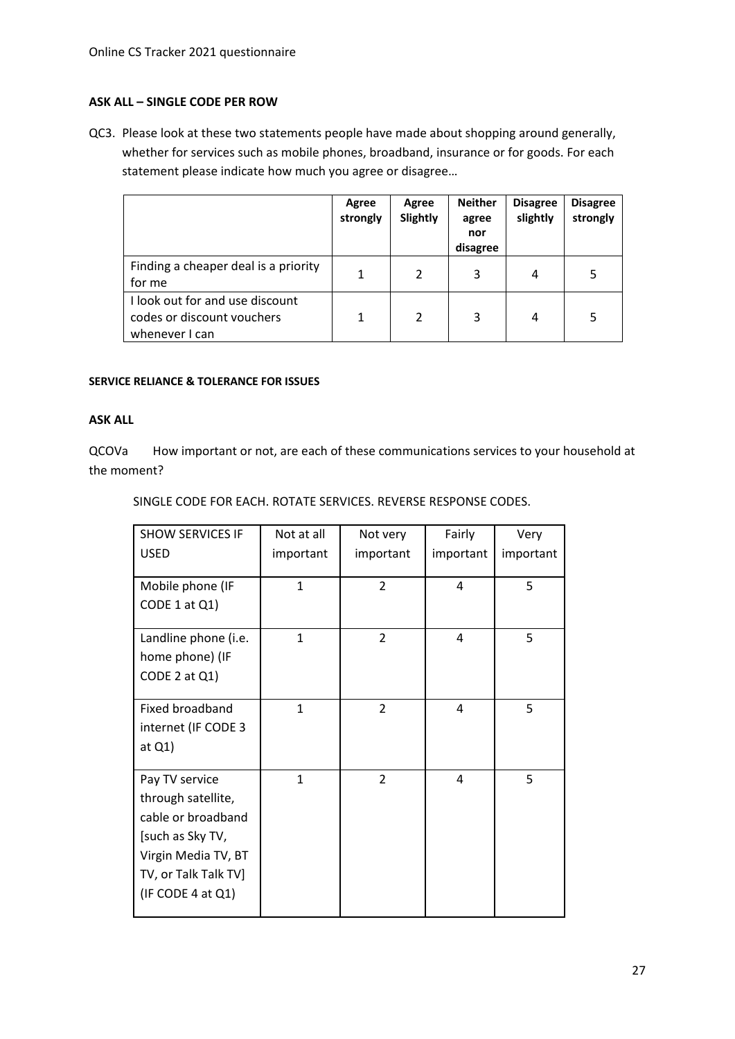#### **ASK ALL – SINGLE CODE PER ROW**

QC3. Please look at these two statements people have made about shopping around generally, whether for services such as mobile phones, broadband, insurance or for goods. For each statement please indicate how much you agree or disagree…

|                                                                                 | Agree<br>strongly | Agree<br>Slightly | <b>Neither</b><br>agree<br>nor<br>disagree | <b>Disagree</b><br>slightly | <b>Disagree</b><br>strongly |
|---------------------------------------------------------------------------------|-------------------|-------------------|--------------------------------------------|-----------------------------|-----------------------------|
| Finding a cheaper deal is a priority<br>for me                                  | 1                 | $\mathfrak{p}$    | 3                                          | 4                           | 5                           |
| I look out for and use discount<br>codes or discount vouchers<br>whenever I can |                   | $\mathfrak{p}$    | 3                                          | 4                           | 5                           |

#### **SERVICE RELIANCE & TOLERANCE FOR ISSUES**

#### **ASK ALL**

QCOVa How important or not, are each of these communications services to your household at the moment?

SINGLE CODE FOR EACH. ROTATE SERVICES. REVERSE RESPONSE CODES.

| <b>SHOW SERVICES IF</b><br><b>USED</b>  | Not at all<br>important | Not very<br>important | Fairly<br>important | Very<br>important |
|-----------------------------------------|-------------------------|-----------------------|---------------------|-------------------|
|                                         |                         |                       |                     |                   |
| Mobile phone (IF                        | $\mathbf{1}$            | $\overline{2}$        | 4                   | 5                 |
| CODE 1 at Q1)                           |                         |                       |                     |                   |
| Landline phone (i.e.                    | $\mathbf{1}$            | $\overline{2}$        | 4                   | 5                 |
| home phone) (IF                         |                         |                       |                     |                   |
| CODE 2 at Q1)                           |                         |                       |                     |                   |
| Fixed broadband                         | $\mathbf{1}$            | $\overline{2}$        | 4                   | 5                 |
| internet (IF CODE 3                     |                         |                       |                     |                   |
| at $Q1$ )                               |                         |                       |                     |                   |
| Pay TV service                          | $\mathbf{1}$            | $\mathcal{P}$         | 4                   | 5                 |
| through satellite,                      |                         |                       |                     |                   |
| cable or broadband                      |                         |                       |                     |                   |
| [such as Sky TV,<br>Virgin Media TV, BT |                         |                       |                     |                   |
| TV, or Talk Talk TV]                    |                         |                       |                     |                   |
| (IF CODE 4 at $Q1$ )                    |                         |                       |                     |                   |
|                                         |                         |                       |                     |                   |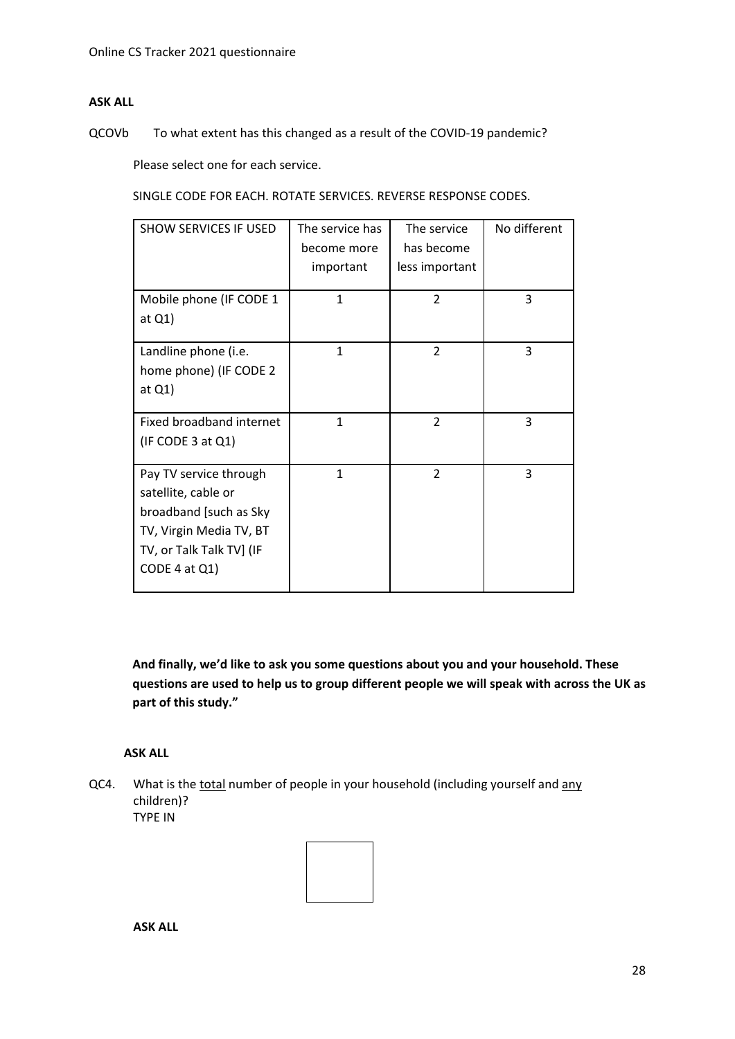### **ASK ALL**

QCOVb To what extent has this changed as a result of the COVID-19 pandemic?

Please select one for each service.

SINGLE CODE FOR EACH. ROTATE SERVICES. REVERSE RESPONSE CODES.

| <b>SHOW SERVICES IF USED</b> | The service has | The service    | No different |
|------------------------------|-----------------|----------------|--------------|
|                              | become more     | has become     |              |
|                              | important       | less important |              |
|                              |                 |                |              |
| Mobile phone (IF CODE 1      | $\mathbf{1}$    | $\overline{2}$ | 3            |
| at Q1)                       |                 |                |              |
| Landline phone (i.e.         | $\mathbf{1}$    | $\overline{2}$ | 3            |
| home phone) (IF CODE 2       |                 |                |              |
| at $Q1$ )                    |                 |                |              |
|                              |                 |                |              |
| Fixed broadband internet     | $\mathbf{1}$    | $\overline{2}$ | 3            |
| (IF CODE 3 at Q1)            |                 |                |              |
| Pay TV service through       | 1               | $\mathfrak{p}$ | 3            |
| satellite, cable or          |                 |                |              |
| broadband [such as Sky       |                 |                |              |
| TV, Virgin Media TV, BT      |                 |                |              |
| TV, or Talk Talk TV] (IF     |                 |                |              |
| CODE 4 at Q1                 |                 |                |              |
|                              |                 |                |              |

**And finally, we'd like to ask you some questions about you and your household. These questions are used to help us to group different people we will speak with across the UK as part of this study."**

**ASK ALL**

QC4. What is the total number of people in your household (including yourself and any children)? TYPE IN



**ASK ALL**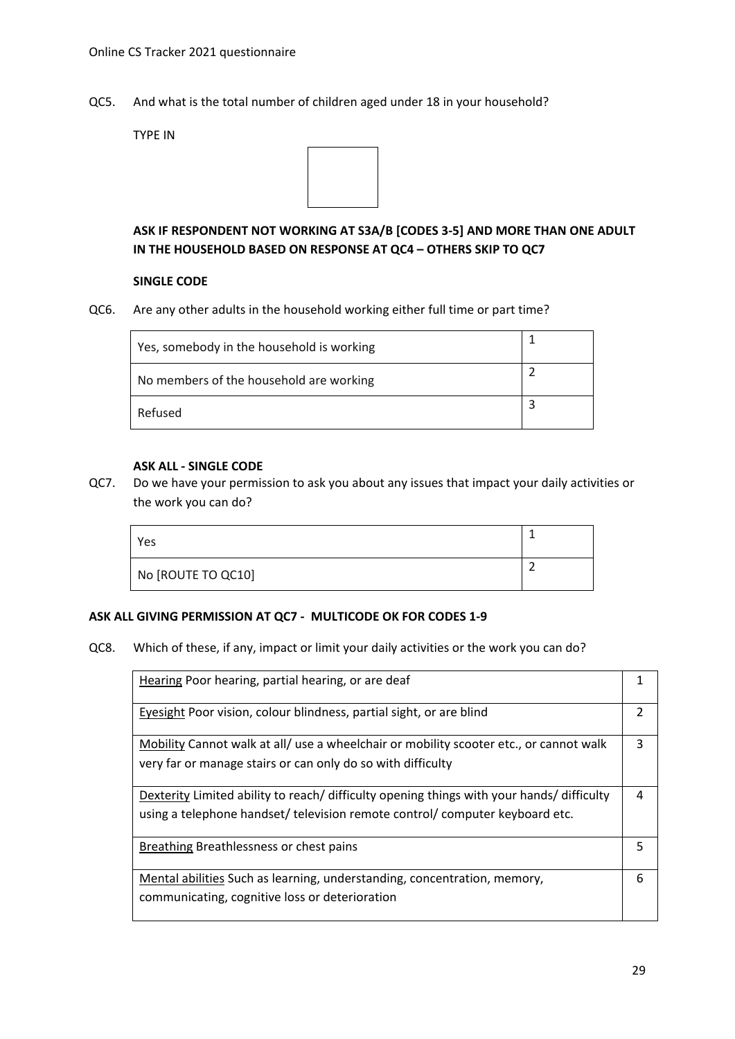QC5. And what is the total number of children aged under 18 in your household?

TYPE IN



# **ASK IF RESPONDENT NOT WORKING AT S3A/B [CODES 3-5] AND MORE THAN ONE ADULT IN THE HOUSEHOLD BASED ON RESPONSE AT QC4 – OTHERS SKIP TO QC7**

#### **SINGLE CODE**

QC6. Are any other adults in the household working either full time or part time?

| Yes, somebody in the household is working |  |
|-------------------------------------------|--|
| No members of the household are working   |  |
| Refused                                   |  |

#### **ASK ALL - SINGLE CODE**

QC7. Do we have your permission to ask you about any issues that impact your daily activities or the work you can do?

| Yes                |  |
|--------------------|--|
| No [ROUTE TO QC10] |  |

#### **ASK ALL GIVING PERMISSION AT QC7 - MULTICODE OK FOR CODES 1-9**

QC8. Which of these, if any, impact or limit your daily activities or the work you can do?

| Hearing Poor hearing, partial hearing, or are deaf                                                                                                                        |               |
|---------------------------------------------------------------------------------------------------------------------------------------------------------------------------|---------------|
| Eyesight Poor vision, colour blindness, partial sight, or are blind                                                                                                       | $\mathcal{P}$ |
| Mobility Cannot walk at all/ use a wheelchair or mobility scooter etc., or cannot walk<br>very far or manage stairs or can only do so with difficulty                     | 3             |
| Dexterity Limited ability to reach/ difficulty opening things with your hands/ difficulty<br>using a telephone handset/ television remote control/ computer keyboard etc. | 4             |
| Breathing Breathlessness or chest pains                                                                                                                                   | 5             |
| Mental abilities Such as learning, understanding, concentration, memory,<br>communicating, cognitive loss or deterioration                                                | 6             |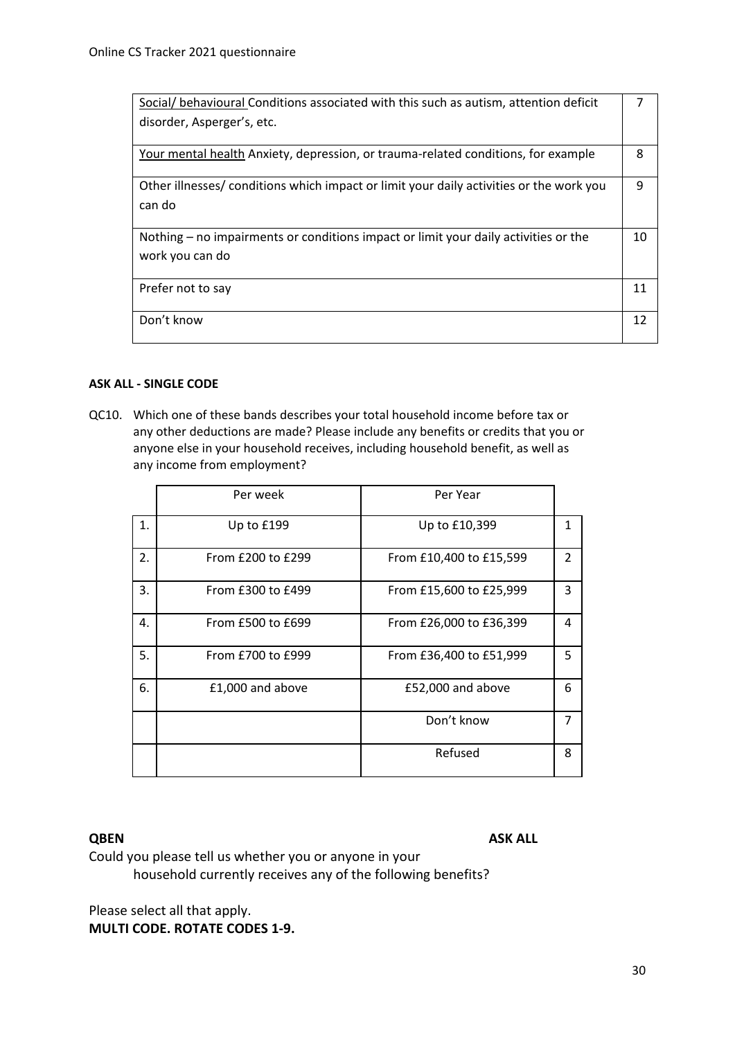| Social/ behavioural Conditions associated with this such as autism, attention deficit   |    |
|-----------------------------------------------------------------------------------------|----|
| disorder, Asperger's, etc.                                                              |    |
| Your mental health Anxiety, depression, or trauma-related conditions, for example       | 8  |
| Other illnesses/ conditions which impact or limit your daily activities or the work you | q  |
| can do                                                                                  |    |
|                                                                                         |    |
| Nothing – no impairments or conditions impact or limit your daily activities or the     | 10 |
| work you can do                                                                         |    |
| Prefer not to say                                                                       | 11 |
|                                                                                         |    |
| Don't know                                                                              | 12 |
|                                                                                         |    |

#### **ASK ALL - SINGLE CODE**

QC10. Which one of these bands describes your total household income before tax or any other deductions are made? Please include any benefits or credits that you or anyone else in your household receives, including household benefit, as well as any income from employment?

|    | Per week          | Per Year                |               |
|----|-------------------|-------------------------|---------------|
| 1. | Up to £199        | Up to £10,399           | 1             |
| 2. | From £200 to £299 | From £10,400 to £15,599 | $\mathcal{P}$ |
| 3. | From £300 to £499 | From £15,600 to £25,999 | 3             |
| 4. | From £500 to £699 | From £26,000 to £36,399 | 4             |
| 5. | From £700 to £999 | From £36,400 to £51,999 | 5             |
| 6. | £1,000 and above  | £52,000 and above       | 6             |
|    |                   | Don't know              | 7             |
|    |                   | Refused                 | 8             |

**QBEN ASK ALL** 

Could you please tell us whether you or anyone in your household currently receives any of the following benefits?

Please select all that apply.

**MULTI CODE. ROTATE CODES 1-9.**